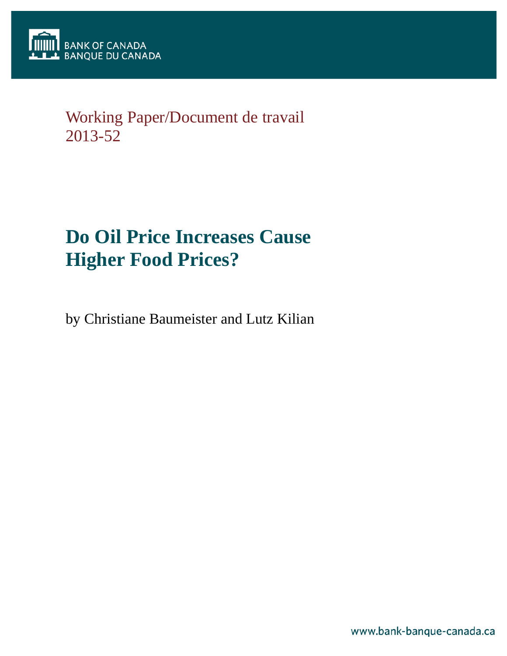

# Working Paper/Document de travail 2013-52

# **Do Oil Price Increases Cause Higher Food Prices?**

by Christiane Baumeister and Lutz Kilian

www.bank-banque-canada.ca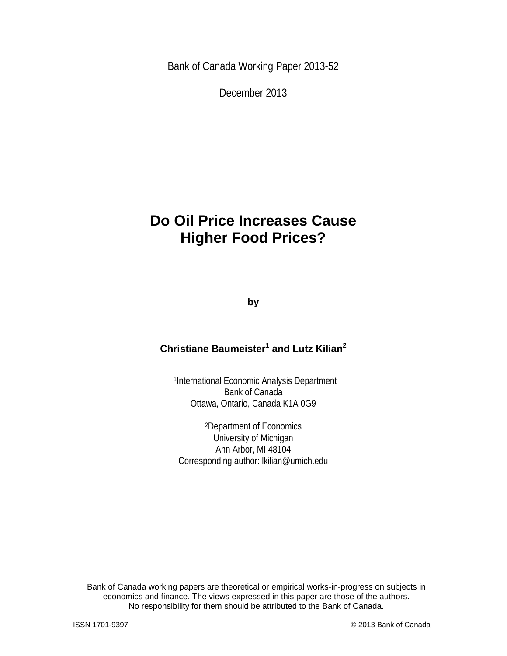Bank of Canada Working Paper 2013-52

December 2013

# **Do Oil Price Increases Cause Higher Food Prices?**

**by**

### **Christiane Baumeister<sup>1</sup> and Lutz Kilian2**

1International Economic Analysis Department Bank of Canada Ottawa, Ontario, Canada K1A 0G9

2Department of Economics University of Michigan Ann Arbor, MI 48104 Corresponding author: lkilian@umich.edu

Bank of Canada working papers are theoretical or empirical works-in-progress on subjects in economics and finance. The views expressed in this paper are those of the authors. No responsibility for them should be attributed to the Bank of Canada.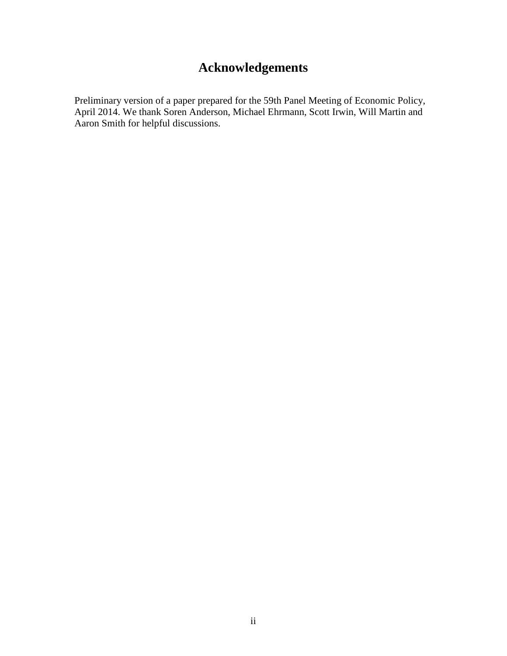## **Acknowledgements**

Preliminary version of a paper prepared for the 59th Panel Meeting of Economic Policy, April 2014. We thank Soren Anderson, Michael Ehrmann, Scott Irwin, Will Martin and Aaron Smith for helpful discussions.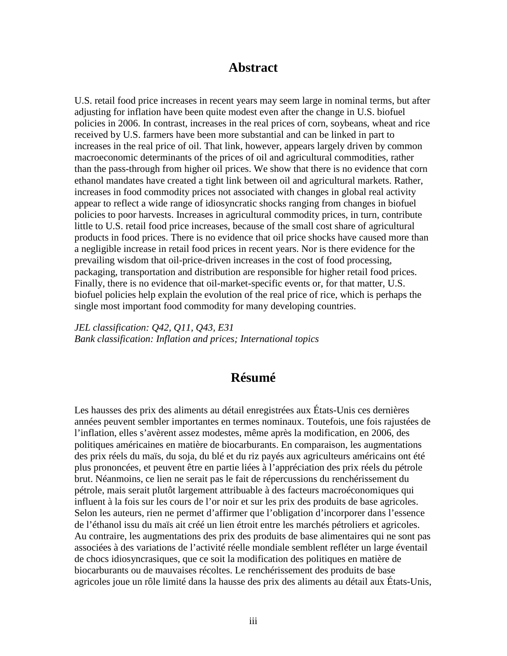### **Abstract**

U.S. retail food price increases in recent years may seem large in nominal terms, but after adjusting for inflation have been quite modest even after the change in U.S. biofuel policies in 2006. In contrast, increases in the real prices of corn, soybeans, wheat and rice received by U.S. farmers have been more substantial and can be linked in part to increases in the real price of oil. That link, however, appears largely driven by common macroeconomic determinants of the prices of oil and agricultural commodities, rather than the pass-through from higher oil prices. We show that there is no evidence that corn ethanol mandates have created a tight link between oil and agricultural markets. Rather, increases in food commodity prices not associated with changes in global real activity appear to reflect a wide range of idiosyncratic shocks ranging from changes in biofuel policies to poor harvests. Increases in agricultural commodity prices, in turn, contribute little to U.S. retail food price increases, because of the small cost share of agricultural products in food prices. There is no evidence that oil price shocks have caused more than a negligible increase in retail food prices in recent years. Nor is there evidence for the prevailing wisdom that oil-price-driven increases in the cost of food processing, packaging, transportation and distribution are responsible for higher retail food prices. Finally, there is no evidence that oil-market-specific events or, for that matter, U.S. biofuel policies help explain the evolution of the real price of rice, which is perhaps the single most important food commodity for many developing countries.

*JEL classification: Q42, Q11, Q43, E31 Bank classification: Inflation and prices; International topics*

### **Résumé**

Les hausses des prix des aliments au détail enregistrées aux États-Unis ces dernières années peuvent sembler importantes en termes nominaux. Toutefois, une fois rajustées de l'inflation, elles s'avèrent assez modestes, même après la modification, en 2006, des politiques américaines en matière de biocarburants. En comparaison, les augmentations des prix réels du maïs, du soja, du blé et du riz payés aux agriculteurs américains ont été plus prononcées, et peuvent être en partie liées à l'appréciation des prix réels du pétrole brut. Néanmoins, ce lien ne serait pas le fait de répercussions du renchérissement du pétrole, mais serait plutôt largement attribuable à des facteurs macroéconomiques qui influent à la fois sur les cours de l'or noir et sur les prix des produits de base agricoles. Selon les auteurs, rien ne permet d'affirmer que l'obligation d'incorporer dans l'essence de l'éthanol issu du maïs ait créé un lien étroit entre les marchés pétroliers et agricoles. Au contraire, les augmentations des prix des produits de base alimentaires qui ne sont pas associées à des variations de l'activité réelle mondiale semblent refléter un large éventail de chocs idiosyncrasiques, que ce soit la modification des politiques en matière de biocarburants ou de mauvaises récoltes. Le renchérissement des produits de base agricoles joue un rôle limité dans la hausse des prix des aliments au détail aux États-Unis,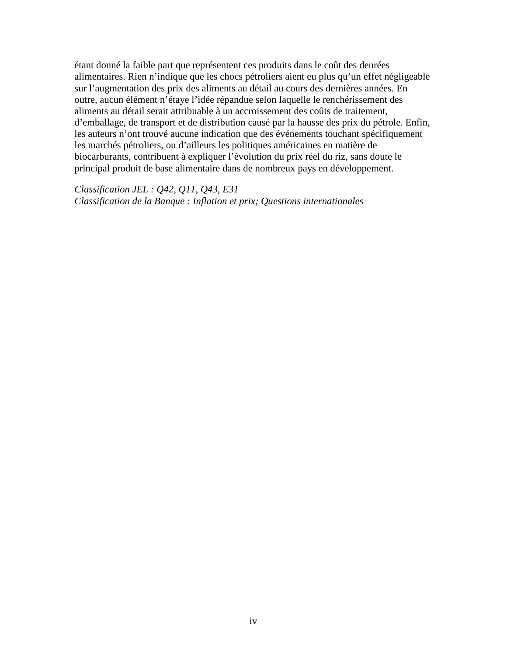étant donné la faible part que représentent ces produits dans le coût des denrées alimentaires. Rien n'indique que les chocs pétroliers aient eu plus qu'un effet négligeable sur l'augmentation des prix des aliments au détail au cours des dernières années. En outre, aucun élément n'étaye l'idée répandue selon laquelle le renchérissement des aliments au détail serait attribuable à un accroissement des coûts de traitement, d'emballage, de transport et de distribution causé par la hausse des prix du pétrole. Enfin, les auteurs n'ont trouvé aucune indication que des événements touchant spécifiquement les marchés pétroliers, ou d'ailleurs les politiques américaines en matière de biocarburants, contribuent à expliquer l'évolution du prix réel du riz, sans doute le principal produit de base alimentaire dans de nombreux pays en développement.

*Classification JEL : Q42, Q11, Q43, E31 Classification de la Banque : Inflation et prix; Questions internationales*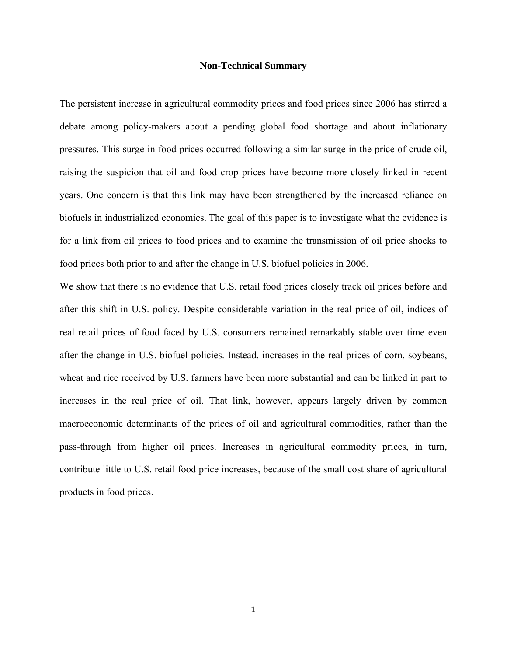#### **Non-Technical Summary**

The persistent increase in agricultural commodity prices and food prices since 2006 has stirred a debate among policy-makers about a pending global food shortage and about inflationary pressures. This surge in food prices occurred following a similar surge in the price of crude oil, raising the suspicion that oil and food crop prices have become more closely linked in recent years. One concern is that this link may have been strengthened by the increased reliance on biofuels in industrialized economies. The goal of this paper is to investigate what the evidence is for a link from oil prices to food prices and to examine the transmission of oil price shocks to food prices both prior to and after the change in U.S. biofuel policies in 2006.

We show that there is no evidence that U.S. retail food prices closely track oil prices before and after this shift in U.S. policy. Despite considerable variation in the real price of oil, indices of real retail prices of food faced by U.S. consumers remained remarkably stable over time even after the change in U.S. biofuel policies. Instead, increases in the real prices of corn, soybeans, wheat and rice received by U.S. farmers have been more substantial and can be linked in part to increases in the real price of oil. That link, however, appears largely driven by common macroeconomic determinants of the prices of oil and agricultural commodities, rather than the pass-through from higher oil prices. Increases in agricultural commodity prices, in turn, contribute little to U.S. retail food price increases, because of the small cost share of agricultural products in food prices.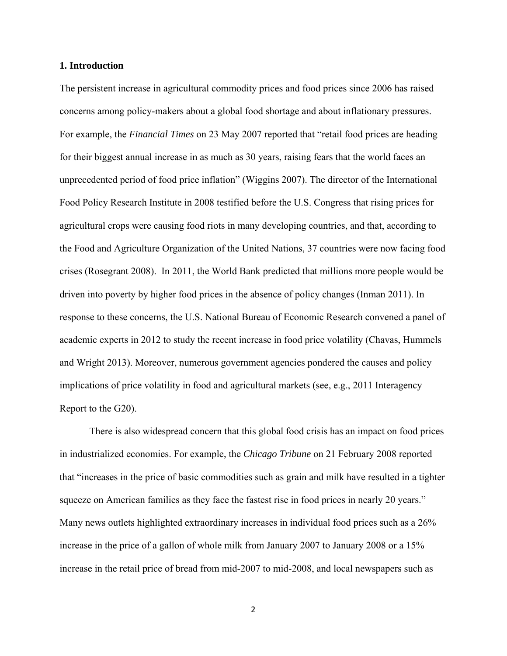#### **1. Introduction**

The persistent increase in agricultural commodity prices and food prices since 2006 has raised concerns among policy-makers about a global food shortage and about inflationary pressures. For example, the *Financial Times* on 23 May 2007 reported that "retail food prices are heading for their biggest annual increase in as much as 30 years, raising fears that the world faces an unprecedented period of food price inflation" (Wiggins 2007). The director of the International Food Policy Research Institute in 2008 testified before the U.S. Congress that rising prices for agricultural crops were causing food riots in many developing countries, and that, according to the Food and Agriculture Organization of the United Nations, 37 countries were now facing food crises (Rosegrant 2008). In 2011, the World Bank predicted that millions more people would be driven into poverty by higher food prices in the absence of policy changes (Inman 2011). In response to these concerns, the U.S. National Bureau of Economic Research convened a panel of academic experts in 2012 to study the recent increase in food price volatility (Chavas, Hummels and Wright 2013). Moreover, numerous government agencies pondered the causes and policy implications of price volatility in food and agricultural markets (see, e.g., 2011 Interagency Report to the G20).

There is also widespread concern that this global food crisis has an impact on food prices in industrialized economies. For example, the *Chicago Tribune* on 21 February 2008 reported that "increases in the price of basic commodities such as grain and milk have resulted in a tighter squeeze on American families as they face the fastest rise in food prices in nearly 20 years." Many news outlets highlighted extraordinary increases in individual food prices such as a 26% increase in the price of a gallon of whole milk from January 2007 to January 2008 or a 15% increase in the retail price of bread from mid-2007 to mid-2008, and local newspapers such as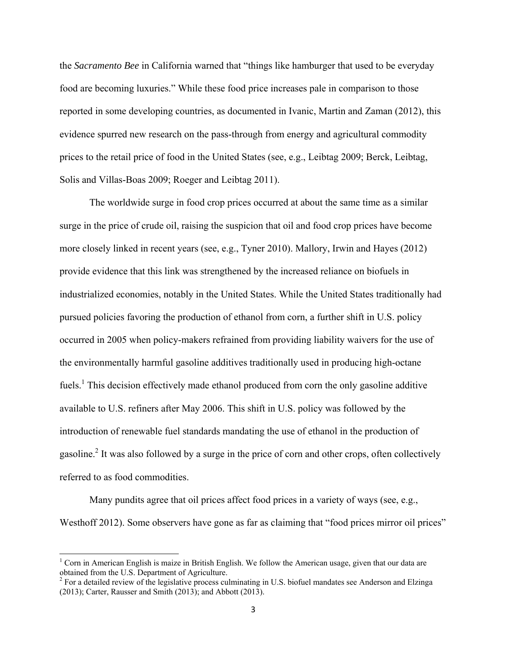the *Sacramento Bee* in California warned that "things like hamburger that used to be everyday food are becoming luxuries." While these food price increases pale in comparison to those reported in some developing countries, as documented in Ivanic, Martin and Zaman (2012), this evidence spurred new research on the pass-through from energy and agricultural commodity prices to the retail price of food in the United States (see, e.g., Leibtag 2009; Berck, Leibtag, Solis and Villas-Boas 2009; Roeger and Leibtag 2011).

The worldwide surge in food crop prices occurred at about the same time as a similar surge in the price of crude oil, raising the suspicion that oil and food crop prices have become more closely linked in recent years (see, e.g., Tyner 2010). Mallory, Irwin and Hayes (2012) provide evidence that this link was strengthened by the increased reliance on biofuels in industrialized economies, notably in the United States. While the United States traditionally had pursued policies favoring the production of ethanol from corn, a further shift in U.S. policy occurred in 2005 when policy-makers refrained from providing liability waivers for the use of the environmentally harmful gasoline additives traditionally used in producing high-octane fuels.<sup>1</sup> This decision effectively made ethanol produced from corn the only gasoline additive available to U.S. refiners after May 2006. This shift in U.S. policy was followed by the introduction of renewable fuel standards mandating the use of ethanol in the production of gasoline.<sup>2</sup> It was also followed by a surge in the price of corn and other crops, often collectively referred to as food commodities.

 Many pundits agree that oil prices affect food prices in a variety of ways (see, e.g., Westhoff 2012). Some observers have gone as far as claiming that "food prices mirror oil prices"

<sup>&</sup>lt;sup>1</sup> Corn in American English is maize in British English. We follow the American usage, given that our data are obtained from the U.S. Department of Agriculture.

 $2^2$  For a detailed review of the legislative process culminating in U.S. biofuel mandates see Anderson and Elzinga (2013); Carter, Rausser and Smith (2013); and Abbott (2013).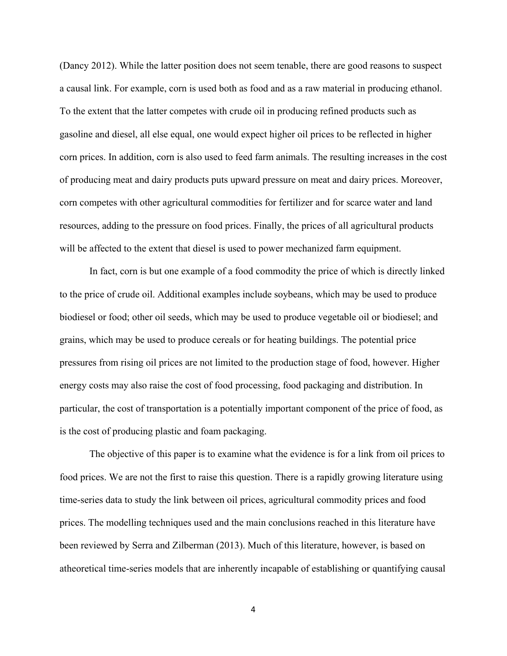(Dancy 2012). While the latter position does not seem tenable, there are good reasons to suspect a causal link. For example, corn is used both as food and as a raw material in producing ethanol. To the extent that the latter competes with crude oil in producing refined products such as gasoline and diesel, all else equal, one would expect higher oil prices to be reflected in higher corn prices. In addition, corn is also used to feed farm animals. The resulting increases in the cost of producing meat and dairy products puts upward pressure on meat and dairy prices. Moreover, corn competes with other agricultural commodities for fertilizer and for scarce water and land resources, adding to the pressure on food prices. Finally, the prices of all agricultural products will be affected to the extent that diesel is used to power mechanized farm equipment.

 In fact, corn is but one example of a food commodity the price of which is directly linked to the price of crude oil. Additional examples include soybeans, which may be used to produce biodiesel or food; other oil seeds, which may be used to produce vegetable oil or biodiesel; and grains, which may be used to produce cereals or for heating buildings. The potential price pressures from rising oil prices are not limited to the production stage of food, however. Higher energy costs may also raise the cost of food processing, food packaging and distribution. In particular, the cost of transportation is a potentially important component of the price of food, as is the cost of producing plastic and foam packaging.

The objective of this paper is to examine what the evidence is for a link from oil prices to food prices. We are not the first to raise this question. There is a rapidly growing literature using time-series data to study the link between oil prices, agricultural commodity prices and food prices. The modelling techniques used and the main conclusions reached in this literature have been reviewed by Serra and Zilberman (2013). Much of this literature, however, is based on atheoretical time-series models that are inherently incapable of establishing or quantifying causal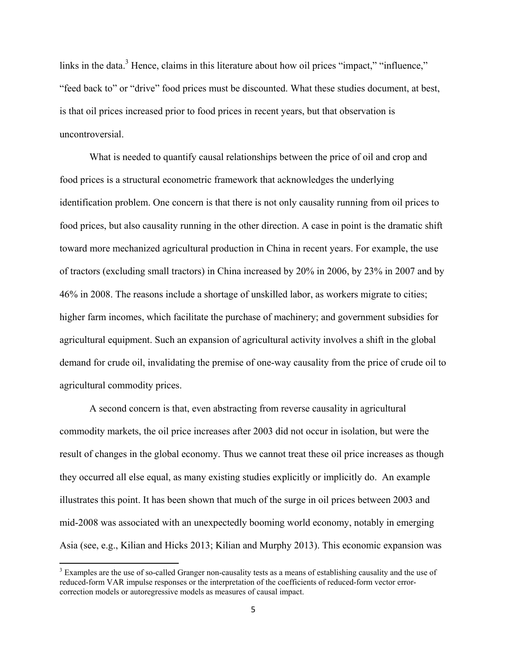links in the data.<sup>3</sup> Hence, claims in this literature about how oil prices "impact," "influence," "feed back to" or "drive" food prices must be discounted. What these studies document, at best, is that oil prices increased prior to food prices in recent years, but that observation is uncontroversial.

What is needed to quantify causal relationships between the price of oil and crop and food prices is a structural econometric framework that acknowledges the underlying identification problem. One concern is that there is not only causality running from oil prices to food prices, but also causality running in the other direction. A case in point is the dramatic shift toward more mechanized agricultural production in China in recent years. For example, the use of tractors (excluding small tractors) in China increased by 20% in 2006, by 23% in 2007 and by 46% in 2008. The reasons include a shortage of unskilled labor, as workers migrate to cities; higher farm incomes, which facilitate the purchase of machinery; and government subsidies for agricultural equipment. Such an expansion of agricultural activity involves a shift in the global demand for crude oil, invalidating the premise of one-way causality from the price of crude oil to agricultural commodity prices.

 A second concern is that, even abstracting from reverse causality in agricultural commodity markets, the oil price increases after 2003 did not occur in isolation, but were the result of changes in the global economy. Thus we cannot treat these oil price increases as though they occurred all else equal, as many existing studies explicitly or implicitly do. An example illustrates this point. It has been shown that much of the surge in oil prices between 2003 and mid-2008 was associated with an unexpectedly booming world economy, notably in emerging Asia (see, e.g., Kilian and Hicks 2013; Kilian and Murphy 2013). This economic expansion was

 $3$  Examples are the use of so-called Granger non-causality tests as a means of establishing causality and the use of reduced-form VAR impulse responses or the interpretation of the coefficients of reduced-form vector errorcorrection models or autoregressive models as measures of causal impact.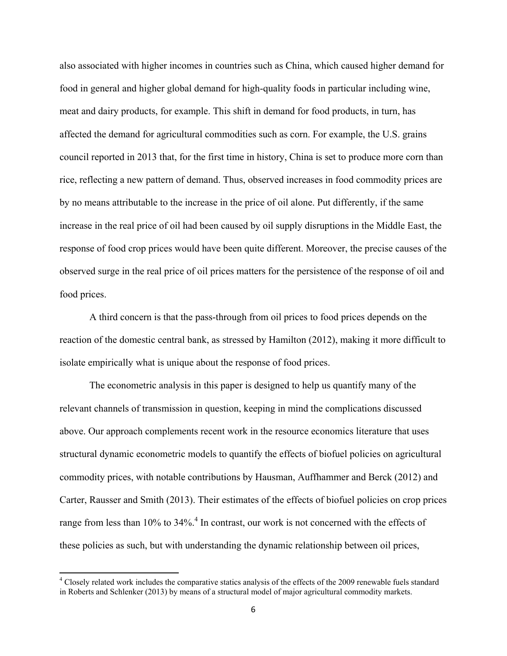also associated with higher incomes in countries such as China, which caused higher demand for food in general and higher global demand for high-quality foods in particular including wine, meat and dairy products, for example. This shift in demand for food products, in turn, has affected the demand for agricultural commodities such as corn. For example, the U.S. grains council reported in 2013 that, for the first time in history, China is set to produce more corn than rice, reflecting a new pattern of demand. Thus, observed increases in food commodity prices are by no means attributable to the increase in the price of oil alone. Put differently, if the same increase in the real price of oil had been caused by oil supply disruptions in the Middle East, the response of food crop prices would have been quite different. Moreover, the precise causes of the observed surge in the real price of oil prices matters for the persistence of the response of oil and food prices.

A third concern is that the pass-through from oil prices to food prices depends on the reaction of the domestic central bank, as stressed by Hamilton (2012), making it more difficult to isolate empirically what is unique about the response of food prices.

 The econometric analysis in this paper is designed to help us quantify many of the relevant channels of transmission in question, keeping in mind the complications discussed above. Our approach complements recent work in the resource economics literature that uses structural dynamic econometric models to quantify the effects of biofuel policies on agricultural commodity prices, with notable contributions by Hausman, Auffhammer and Berck (2012) and Carter, Rausser and Smith (2013). Their estimates of the effects of biofuel policies on crop prices range from less than 10% to 34%.<sup>4</sup> In contrast, our work is not concerned with the effects of these policies as such, but with understanding the dynamic relationship between oil prices,

<sup>&</sup>lt;sup>4</sup> Closely related work includes the comparative statics analysis of the effects of the 2009 renewable fuels standard in Roberts and Schlenker (2013) by means of a structural model of major agricultural commodity markets.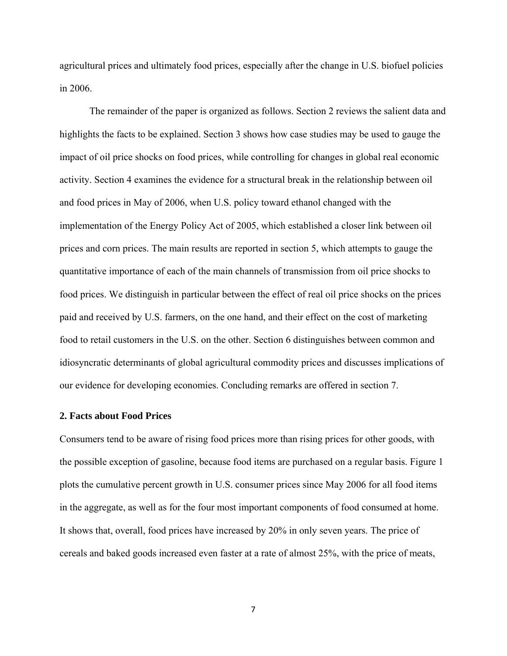agricultural prices and ultimately food prices, especially after the change in U.S. biofuel policies in 2006.

 The remainder of the paper is organized as follows. Section 2 reviews the salient data and highlights the facts to be explained. Section 3 shows how case studies may be used to gauge the impact of oil price shocks on food prices, while controlling for changes in global real economic activity. Section 4 examines the evidence for a structural break in the relationship between oil and food prices in May of 2006, when U.S. policy toward ethanol changed with the implementation of the Energy Policy Act of 2005, which established a closer link between oil prices and corn prices. The main results are reported in section 5, which attempts to gauge the quantitative importance of each of the main channels of transmission from oil price shocks to food prices. We distinguish in particular between the effect of real oil price shocks on the prices paid and received by U.S. farmers, on the one hand, and their effect on the cost of marketing food to retail customers in the U.S. on the other. Section 6 distinguishes between common and idiosyncratic determinants of global agricultural commodity prices and discusses implications of our evidence for developing economies. Concluding remarks are offered in section 7.

#### **2. Facts about Food Prices**

Consumers tend to be aware of rising food prices more than rising prices for other goods, with the possible exception of gasoline, because food items are purchased on a regular basis. Figure 1 plots the cumulative percent growth in U.S. consumer prices since May 2006 for all food items in the aggregate, as well as for the four most important components of food consumed at home. It shows that, overall, food prices have increased by 20% in only seven years. The price of cereals and baked goods increased even faster at a rate of almost 25%, with the price of meats,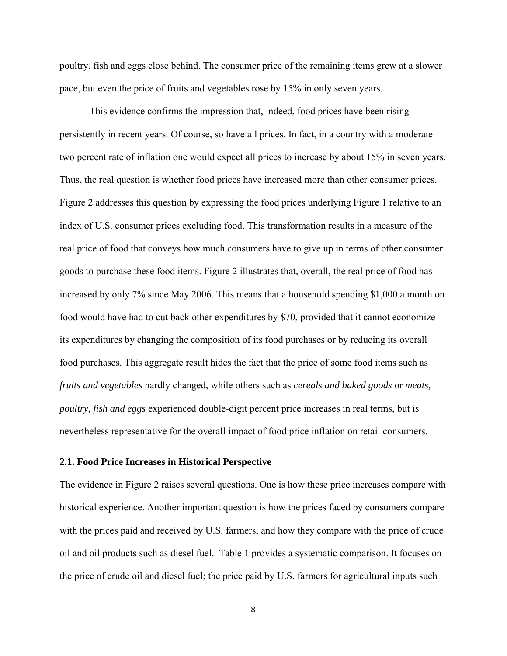poultry, fish and eggs close behind. The consumer price of the remaining items grew at a slower pace, but even the price of fruits and vegetables rose by 15% in only seven years.

 This evidence confirms the impression that, indeed, food prices have been rising persistently in recent years. Of course, so have all prices. In fact, in a country with a moderate two percent rate of inflation one would expect all prices to increase by about 15% in seven years. Thus, the real question is whether food prices have increased more than other consumer prices. Figure 2 addresses this question by expressing the food prices underlying Figure 1 relative to an index of U.S. consumer prices excluding food. This transformation results in a measure of the real price of food that conveys how much consumers have to give up in terms of other consumer goods to purchase these food items. Figure 2 illustrates that, overall, the real price of food has increased by only 7% since May 2006. This means that a household spending \$1,000 a month on food would have had to cut back other expenditures by \$70, provided that it cannot economize its expenditures by changing the composition of its food purchases or by reducing its overall food purchases. This aggregate result hides the fact that the price of some food items such as *fruits and vegetables* hardly changed, while others such as *cereals and baked goods* or *meats, poultry, fish and eggs* experienced double-digit percent price increases in real terms, but is nevertheless representative for the overall impact of food price inflation on retail consumers.

#### **2.1. Food Price Increases in Historical Perspective**

The evidence in Figure 2 raises several questions. One is how these price increases compare with historical experience. Another important question is how the prices faced by consumers compare with the prices paid and received by U.S. farmers, and how they compare with the price of crude oil and oil products such as diesel fuel. Table 1 provides a systematic comparison. It focuses on the price of crude oil and diesel fuel; the price paid by U.S. farmers for agricultural inputs such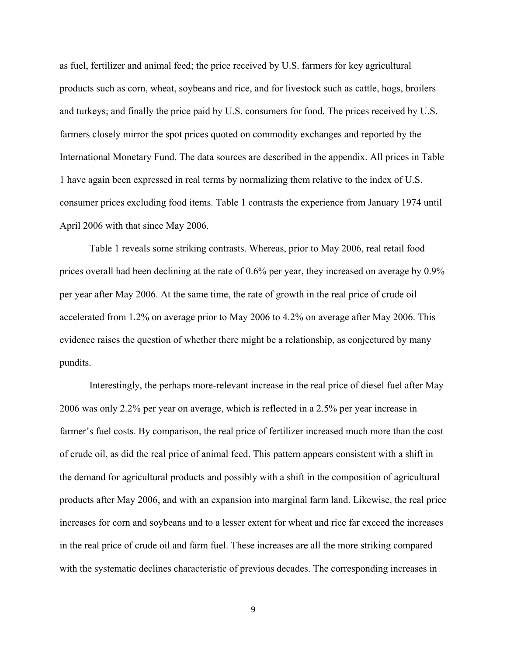as fuel, fertilizer and animal feed; the price received by U.S. farmers for key agricultural products such as corn, wheat, soybeans and rice, and for livestock such as cattle, hogs, broilers and turkeys; and finally the price paid by U.S. consumers for food. The prices received by U.S. farmers closely mirror the spot prices quoted on commodity exchanges and reported by the International Monetary Fund. The data sources are described in the appendix. All prices in Table 1 have again been expressed in real terms by normalizing them relative to the index of U.S. consumer prices excluding food items. Table 1 contrasts the experience from January 1974 until April 2006 with that since May 2006.

 Table 1 reveals some striking contrasts. Whereas, prior to May 2006, real retail food prices overall had been declining at the rate of 0.6% per year, they increased on average by 0.9% per year after May 2006. At the same time, the rate of growth in the real price of crude oil accelerated from 1.2% on average prior to May 2006 to 4.2% on average after May 2006. This evidence raises the question of whether there might be a relationship, as conjectured by many pundits.

 Interestingly, the perhaps more-relevant increase in the real price of diesel fuel after May 2006 was only 2.2% per year on average, which is reflected in a 2.5% per year increase in farmer's fuel costs. By comparison, the real price of fertilizer increased much more than the cost of crude oil, as did the real price of animal feed. This pattern appears consistent with a shift in the demand for agricultural products and possibly with a shift in the composition of agricultural products after May 2006, and with an expansion into marginal farm land. Likewise, the real price increases for corn and soybeans and to a lesser extent for wheat and rice far exceed the increases in the real price of crude oil and farm fuel. These increases are all the more striking compared with the systematic declines characteristic of previous decades. The corresponding increases in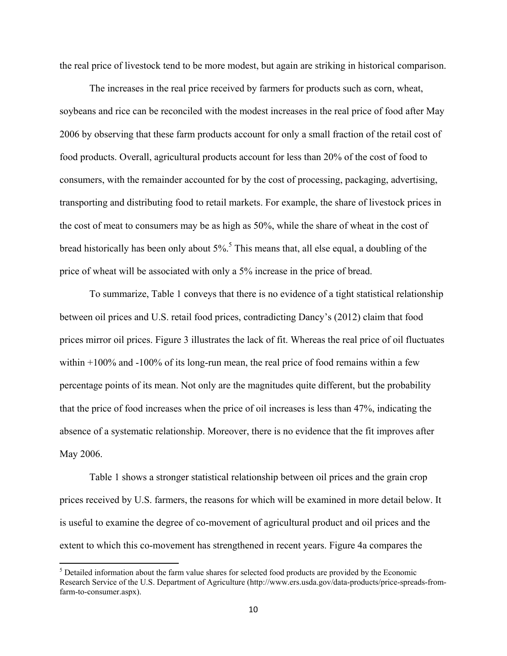the real price of livestock tend to be more modest, but again are striking in historical comparison.

The increases in the real price received by farmers for products such as corn, wheat, soybeans and rice can be reconciled with the modest increases in the real price of food after May 2006 by observing that these farm products account for only a small fraction of the retail cost of food products. Overall, agricultural products account for less than 20% of the cost of food to consumers, with the remainder accounted for by the cost of processing, packaging, advertising, transporting and distributing food to retail markets. For example, the share of livestock prices in the cost of meat to consumers may be as high as 50%, while the share of wheat in the cost of bread historically has been only about 5%.<sup>5</sup> This means that, all else equal, a doubling of the price of wheat will be associated with only a 5% increase in the price of bread.

To summarize, Table 1 conveys that there is no evidence of a tight statistical relationship between oil prices and U.S. retail food prices, contradicting Dancy's (2012) claim that food prices mirror oil prices. Figure 3 illustrates the lack of fit. Whereas the real price of oil fluctuates within +100% and -100% of its long-run mean, the real price of food remains within a few percentage points of its mean. Not only are the magnitudes quite different, but the probability that the price of food increases when the price of oil increases is less than 47%, indicating the absence of a systematic relationship. Moreover, there is no evidence that the fit improves after May 2006.

Table 1 shows a stronger statistical relationship between oil prices and the grain crop prices received by U.S. farmers, the reasons for which will be examined in more detail below. It is useful to examine the degree of co-movement of agricultural product and oil prices and the extent to which this co-movement has strengthened in recent years. Figure 4a compares the

 $<sup>5</sup>$  Detailed information about the farm value shares for selected food products are provided by the Economic</sup> Research Service of the U.S. Department of Agriculture (http://www.ers.usda.gov/data-products/price-spreads-fromfarm-to-consumer.aspx).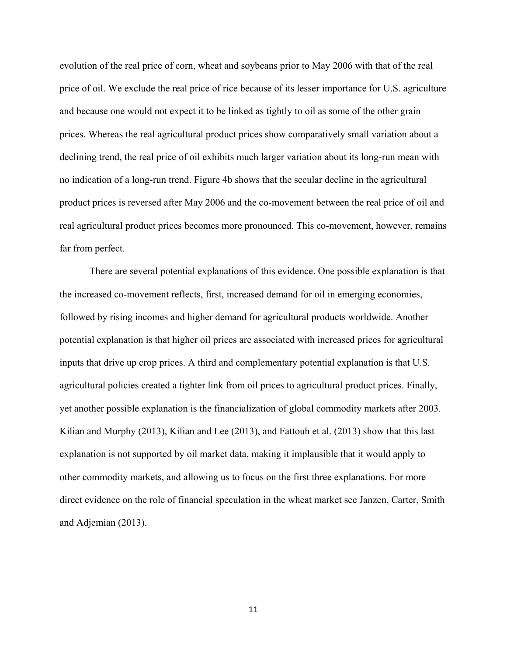evolution of the real price of corn, wheat and soybeans prior to May 2006 with that of the real price of oil. We exclude the real price of rice because of its lesser importance for U.S. agriculture and because one would not expect it to be linked as tightly to oil as some of the other grain prices. Whereas the real agricultural product prices show comparatively small variation about a declining trend, the real price of oil exhibits much larger variation about its long-run mean with no indication of a long-run trend. Figure 4b shows that the secular decline in the agricultural product prices is reversed after May 2006 and the co-movement between the real price of oil and real agricultural product prices becomes more pronounced. This co-movement, however, remains far from perfect.

 There are several potential explanations of this evidence. One possible explanation is that the increased co-movement reflects, first, increased demand for oil in emerging economies, followed by rising incomes and higher demand for agricultural products worldwide. Another potential explanation is that higher oil prices are associated with increased prices for agricultural inputs that drive up crop prices. A third and complementary potential explanation is that U.S. agricultural policies created a tighter link from oil prices to agricultural product prices. Finally, yet another possible explanation is the financialization of global commodity markets after 2003. Kilian and Murphy (2013), Kilian and Lee (2013), and Fattouh et al. (2013) show that this last explanation is not supported by oil market data, making it implausible that it would apply to other commodity markets, and allowing us to focus on the first three explanations. For more direct evidence on the role of financial speculation in the wheat market see Janzen, Carter, Smith and Adjemian (2013).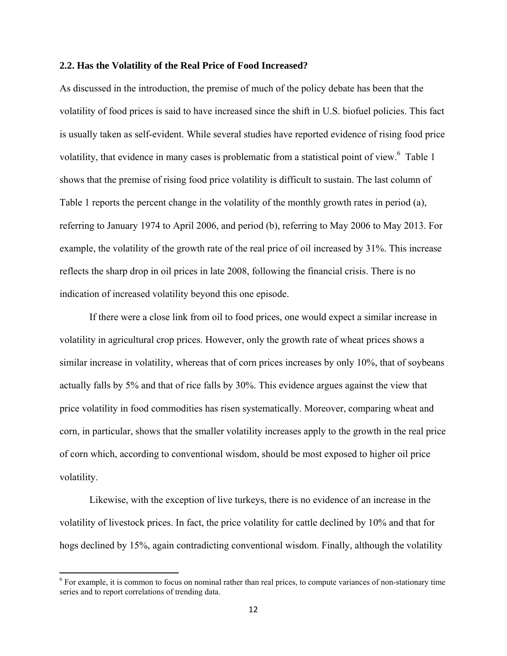#### **2.2. Has the Volatility of the Real Price of Food Increased?**

As discussed in the introduction, the premise of much of the policy debate has been that the volatility of food prices is said to have increased since the shift in U.S. biofuel policies. This fact is usually taken as self-evident. While several studies have reported evidence of rising food price volatility, that evidence in many cases is problematic from a statistical point of view.<sup>6</sup> Table 1 shows that the premise of rising food price volatility is difficult to sustain. The last column of Table 1 reports the percent change in the volatility of the monthly growth rates in period (a), referring to January 1974 to April 2006, and period (b), referring to May 2006 to May 2013. For example, the volatility of the growth rate of the real price of oil increased by 31%. This increase reflects the sharp drop in oil prices in late 2008, following the financial crisis. There is no indication of increased volatility beyond this one episode.

 If there were a close link from oil to food prices, one would expect a similar increase in volatility in agricultural crop prices. However, only the growth rate of wheat prices shows a similar increase in volatility, whereas that of corn prices increases by only 10%, that of soybeans actually falls by 5% and that of rice falls by 30%. This evidence argues against the view that price volatility in food commodities has risen systematically. Moreover, comparing wheat and corn, in particular, shows that the smaller volatility increases apply to the growth in the real price of corn which, according to conventional wisdom, should be most exposed to higher oil price volatility.

 Likewise, with the exception of live turkeys, there is no evidence of an increase in the volatility of livestock prices. In fact, the price volatility for cattle declined by 10% and that for hogs declined by 15%, again contradicting conventional wisdom. Finally, although the volatility

<sup>&</sup>lt;sup>6</sup> For example, it is common to focus on nominal rather than real prices, to compute variances of non-stationary time series and to report correlations of trending data.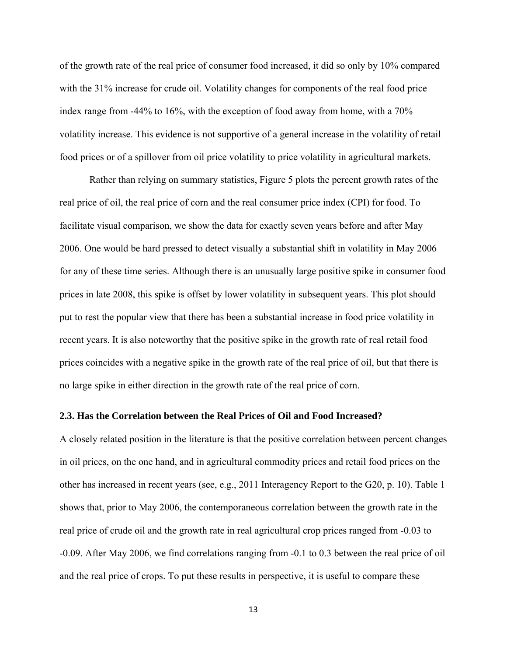of the growth rate of the real price of consumer food increased, it did so only by 10% compared with the 31% increase for crude oil. Volatility changes for components of the real food price index range from -44% to 16%, with the exception of food away from home, with a 70% volatility increase. This evidence is not supportive of a general increase in the volatility of retail food prices or of a spillover from oil price volatility to price volatility in agricultural markets.

 Rather than relying on summary statistics, Figure 5 plots the percent growth rates of the real price of oil, the real price of corn and the real consumer price index (CPI) for food. To facilitate visual comparison, we show the data for exactly seven years before and after May 2006. One would be hard pressed to detect visually a substantial shift in volatility in May 2006 for any of these time series. Although there is an unusually large positive spike in consumer food prices in late 2008, this spike is offset by lower volatility in subsequent years. This plot should put to rest the popular view that there has been a substantial increase in food price volatility in recent years. It is also noteworthy that the positive spike in the growth rate of real retail food prices coincides with a negative spike in the growth rate of the real price of oil, but that there is no large spike in either direction in the growth rate of the real price of corn.

#### **2.3. Has the Correlation between the Real Prices of Oil and Food Increased?**

A closely related position in the literature is that the positive correlation between percent changes in oil prices, on the one hand, and in agricultural commodity prices and retail food prices on the other has increased in recent years (see, e.g., 2011 Interagency Report to the G20, p. 10). Table 1 shows that, prior to May 2006, the contemporaneous correlation between the growth rate in the real price of crude oil and the growth rate in real agricultural crop prices ranged from -0.03 to -0.09. After May 2006, we find correlations ranging from -0.1 to 0.3 between the real price of oil and the real price of crops. To put these results in perspective, it is useful to compare these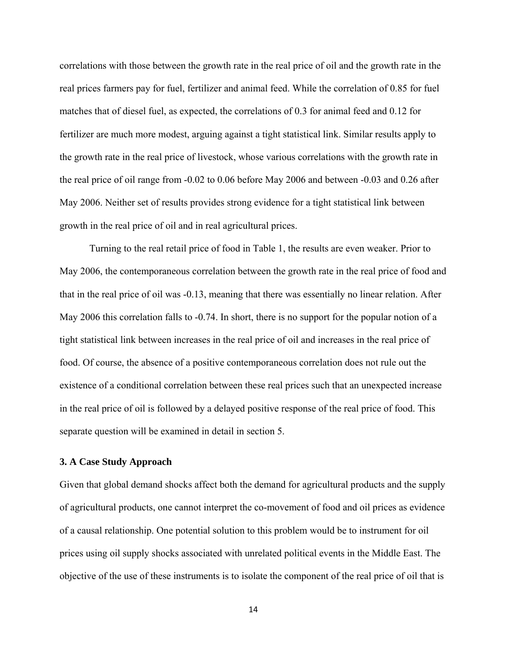correlations with those between the growth rate in the real price of oil and the growth rate in the real prices farmers pay for fuel, fertilizer and animal feed. While the correlation of 0.85 for fuel matches that of diesel fuel, as expected, the correlations of 0.3 for animal feed and 0.12 for fertilizer are much more modest, arguing against a tight statistical link. Similar results apply to the growth rate in the real price of livestock, whose various correlations with the growth rate in the real price of oil range from -0.02 to 0.06 before May 2006 and between -0.03 and 0.26 after May 2006. Neither set of results provides strong evidence for a tight statistical link between growth in the real price of oil and in real agricultural prices.

 Turning to the real retail price of food in Table 1, the results are even weaker. Prior to May 2006, the contemporaneous correlation between the growth rate in the real price of food and that in the real price of oil was -0.13, meaning that there was essentially no linear relation. After May 2006 this correlation falls to -0.74. In short, there is no support for the popular notion of a tight statistical link between increases in the real price of oil and increases in the real price of food. Of course, the absence of a positive contemporaneous correlation does not rule out the existence of a conditional correlation between these real prices such that an unexpected increase in the real price of oil is followed by a delayed positive response of the real price of food. This separate question will be examined in detail in section 5.

#### **3. A Case Study Approach**

Given that global demand shocks affect both the demand for agricultural products and the supply of agricultural products, one cannot interpret the co-movement of food and oil prices as evidence of a causal relationship. One potential solution to this problem would be to instrument for oil prices using oil supply shocks associated with unrelated political events in the Middle East. The objective of the use of these instruments is to isolate the component of the real price of oil that is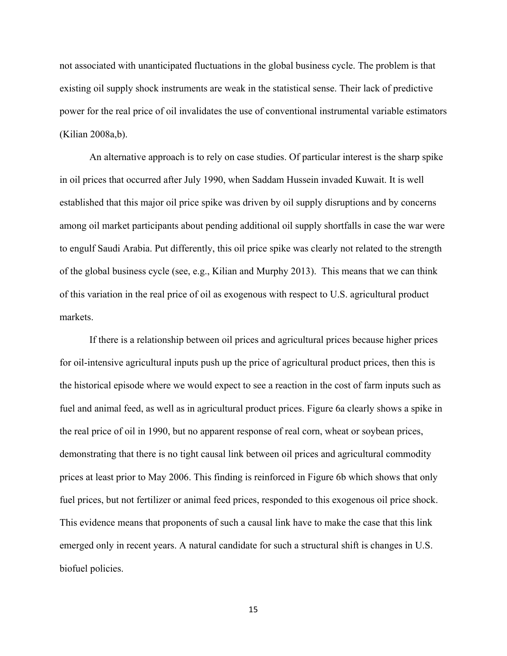not associated with unanticipated fluctuations in the global business cycle. The problem is that existing oil supply shock instruments are weak in the statistical sense. Their lack of predictive power for the real price of oil invalidates the use of conventional instrumental variable estimators (Kilian 2008a,b).

 An alternative approach is to rely on case studies. Of particular interest is the sharp spike in oil prices that occurred after July 1990, when Saddam Hussein invaded Kuwait. It is well established that this major oil price spike was driven by oil supply disruptions and by concerns among oil market participants about pending additional oil supply shortfalls in case the war were to engulf Saudi Arabia. Put differently, this oil price spike was clearly not related to the strength of the global business cycle (see, e.g., Kilian and Murphy 2013). This means that we can think of this variation in the real price of oil as exogenous with respect to U.S. agricultural product markets.

 If there is a relationship between oil prices and agricultural prices because higher prices for oil-intensive agricultural inputs push up the price of agricultural product prices, then this is the historical episode where we would expect to see a reaction in the cost of farm inputs such as fuel and animal feed, as well as in agricultural product prices. Figure 6a clearly shows a spike in the real price of oil in 1990, but no apparent response of real corn, wheat or soybean prices, demonstrating that there is no tight causal link between oil prices and agricultural commodity prices at least prior to May 2006. This finding is reinforced in Figure 6b which shows that only fuel prices, but not fertilizer or animal feed prices, responded to this exogenous oil price shock. This evidence means that proponents of such a causal link have to make the case that this link emerged only in recent years. A natural candidate for such a structural shift is changes in U.S. biofuel policies.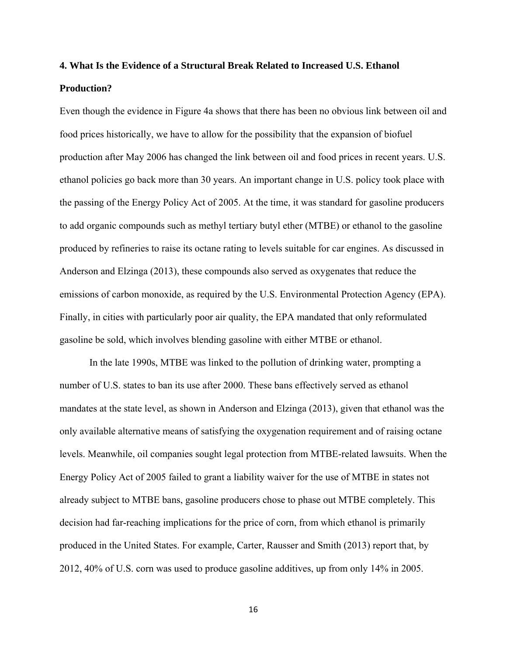## **4. What Is the Evidence of a Structural Break Related to Increased U.S. Ethanol Production?**

Even though the evidence in Figure 4a shows that there has been no obvious link between oil and food prices historically, we have to allow for the possibility that the expansion of biofuel production after May 2006 has changed the link between oil and food prices in recent years. U.S. ethanol policies go back more than 30 years. An important change in U.S. policy took place with the passing of the Energy Policy Act of 2005. At the time, it was standard for gasoline producers to add organic compounds such as methyl tertiary butyl ether (MTBE) or ethanol to the gasoline produced by refineries to raise its octane rating to levels suitable for car engines. As discussed in Anderson and Elzinga (2013), these compounds also served as oxygenates that reduce the emissions of carbon monoxide, as required by the U.S. Environmental Protection Agency (EPA). Finally, in cities with particularly poor air quality, the EPA mandated that only reformulated gasoline be sold, which involves blending gasoline with either MTBE or ethanol.

 In the late 1990s, MTBE was linked to the pollution of drinking water, prompting a number of U.S. states to ban its use after 2000. These bans effectively served as ethanol mandates at the state level, as shown in Anderson and Elzinga (2013), given that ethanol was the only available alternative means of satisfying the oxygenation requirement and of raising octane levels. Meanwhile, oil companies sought legal protection from MTBE-related lawsuits. When the Energy Policy Act of 2005 failed to grant a liability waiver for the use of MTBE in states not already subject to MTBE bans, gasoline producers chose to phase out MTBE completely. This decision had far-reaching implications for the price of corn, from which ethanol is primarily produced in the United States. For example, Carter, Rausser and Smith (2013) report that, by 2012, 40% of U.S. corn was used to produce gasoline additives, up from only 14% in 2005.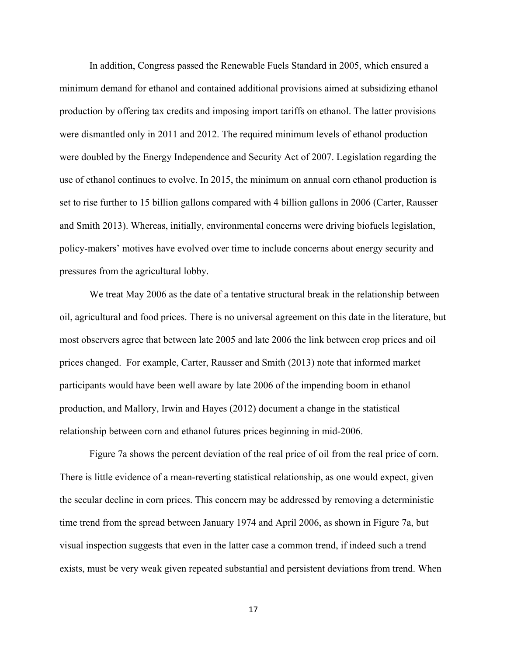In addition, Congress passed the Renewable Fuels Standard in 2005, which ensured a minimum demand for ethanol and contained additional provisions aimed at subsidizing ethanol production by offering tax credits and imposing import tariffs on ethanol. The latter provisions were dismantled only in 2011 and 2012. The required minimum levels of ethanol production were doubled by the Energy Independence and Security Act of 2007. Legislation regarding the use of ethanol continues to evolve. In 2015, the minimum on annual corn ethanol production is set to rise further to 15 billion gallons compared with 4 billion gallons in 2006 (Carter, Rausser and Smith 2013). Whereas, initially, environmental concerns were driving biofuels legislation, policy-makers' motives have evolved over time to include concerns about energy security and pressures from the agricultural lobby.

We treat May 2006 as the date of a tentative structural break in the relationship between oil, agricultural and food prices. There is no universal agreement on this date in the literature, but most observers agree that between late 2005 and late 2006 the link between crop prices and oil prices changed. For example, Carter, Rausser and Smith (2013) note that informed market participants would have been well aware by late 2006 of the impending boom in ethanol production, and Mallory, Irwin and Hayes (2012) document a change in the statistical relationship between corn and ethanol futures prices beginning in mid-2006.

 Figure 7a shows the percent deviation of the real price of oil from the real price of corn. There is little evidence of a mean-reverting statistical relationship, as one would expect, given the secular decline in corn prices. This concern may be addressed by removing a deterministic time trend from the spread between January 1974 and April 2006, as shown in Figure 7a, but visual inspection suggests that even in the latter case a common trend, if indeed such a trend exists, must be very weak given repeated substantial and persistent deviations from trend. When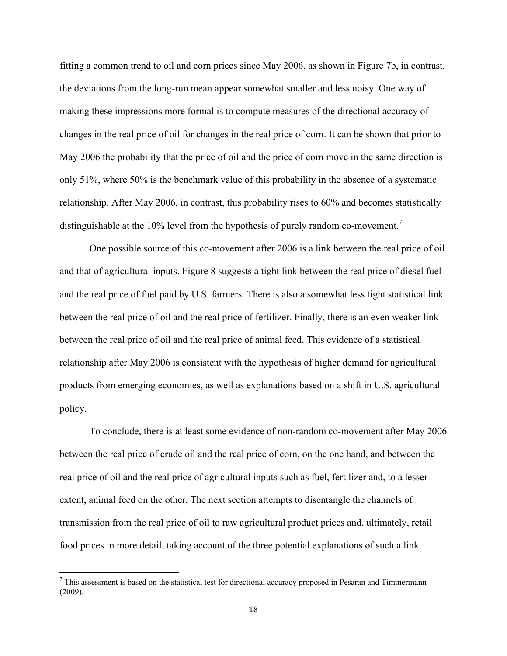fitting a common trend to oil and corn prices since May 2006, as shown in Figure 7b, in contrast, the deviations from the long-run mean appear somewhat smaller and less noisy. One way of making these impressions more formal is to compute measures of the directional accuracy of changes in the real price of oil for changes in the real price of corn. It can be shown that prior to May 2006 the probability that the price of oil and the price of corn move in the same direction is only 51%, where 50% is the benchmark value of this probability in the absence of a systematic relationship. After May 2006, in contrast, this probability rises to 60% and becomes statistically distinguishable at the 10% level from the hypothesis of purely random co-movement.<sup>7</sup>

 One possible source of this co-movement after 2006 is a link between the real price of oil and that of agricultural inputs. Figure 8 suggests a tight link between the real price of diesel fuel and the real price of fuel paid by U.S. farmers. There is also a somewhat less tight statistical link between the real price of oil and the real price of fertilizer. Finally, there is an even weaker link between the real price of oil and the real price of animal feed. This evidence of a statistical relationship after May 2006 is consistent with the hypothesis of higher demand for agricultural products from emerging economies, as well as explanations based on a shift in U.S. agricultural policy.

 To conclude, there is at least some evidence of non-random co-movement after May 2006 between the real price of crude oil and the real price of corn, on the one hand, and between the real price of oil and the real price of agricultural inputs such as fuel, fertilizer and, to a lesser extent, animal feed on the other. The next section attempts to disentangle the channels of transmission from the real price of oil to raw agricultural product prices and, ultimately, retail food prices in more detail, taking account of the three potential explanations of such a link

 $<sup>7</sup>$  This assessment is based on the statistical test for directional accuracy proposed in Pesaran and Timmermann</sup> (2009).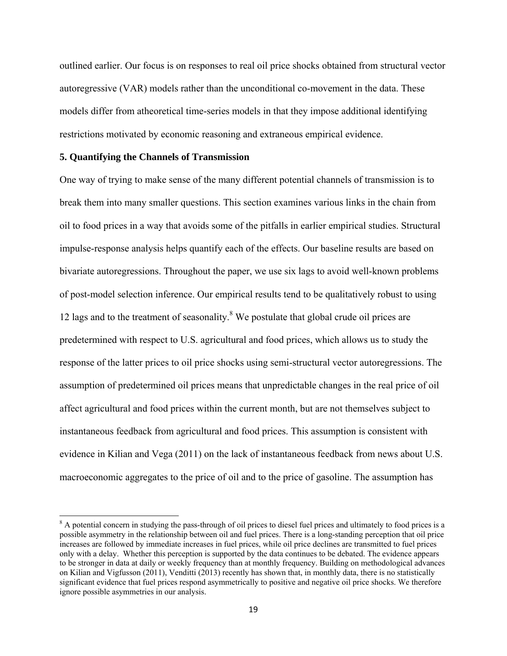outlined earlier. Our focus is on responses to real oil price shocks obtained from structural vector autoregressive (VAR) models rather than the unconditional co-movement in the data. These models differ from atheoretical time-series models in that they impose additional identifying restrictions motivated by economic reasoning and extraneous empirical evidence.

#### **5. Quantifying the Channels of Transmission**

One way of trying to make sense of the many different potential channels of transmission is to break them into many smaller questions. This section examines various links in the chain from oil to food prices in a way that avoids some of the pitfalls in earlier empirical studies. Structural impulse-response analysis helps quantify each of the effects. Our baseline results are based on bivariate autoregressions. Throughout the paper, we use six lags to avoid well-known problems of post-model selection inference. Our empirical results tend to be qualitatively robust to using 12 lags and to the treatment of seasonality.<sup>8</sup> We postulate that global crude oil prices are predetermined with respect to U.S. agricultural and food prices, which allows us to study the response of the latter prices to oil price shocks using semi-structural vector autoregressions. The assumption of predetermined oil prices means that unpredictable changes in the real price of oil affect agricultural and food prices within the current month, but are not themselves subject to instantaneous feedback from agricultural and food prices. This assumption is consistent with evidence in Kilian and Vega (2011) on the lack of instantaneous feedback from news about U.S. macroeconomic aggregates to the price of oil and to the price of gasoline. The assumption has

<sup>&</sup>lt;sup>8</sup> A potential concern in studying the pass-through of oil prices to diesel fuel prices and ultimately to food prices is a possible asymmetry in the relationship between oil and fuel prices. There is a long-standing perception that oil price increases are followed by immediate increases in fuel prices, while oil price declines are transmitted to fuel prices only with a delay. Whether this perception is supported by the data continues to be debated. The evidence appears to be stronger in data at daily or weekly frequency than at monthly frequency. Building on methodological advances on Kilian and Vigfusson (2011), Venditti (2013) recently has shown that, in monthly data, there is no statistically significant evidence that fuel prices respond asymmetrically to positive and negative oil price shocks. We therefore ignore possible asymmetries in our analysis.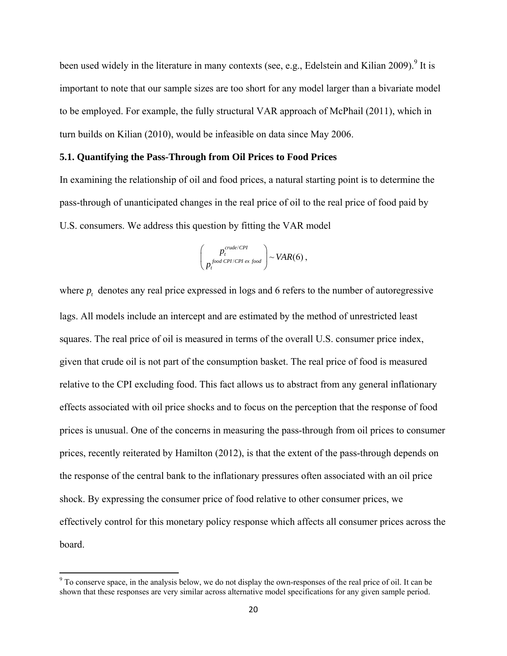been used widely in the literature in many contexts (see, e.g., Edelstein and Kilian 2009).<sup>9</sup> It is important to note that our sample sizes are too short for any model larger than a bivariate model to be employed. For example, the fully structural VAR approach of McPhail (2011), which in turn builds on Kilian (2010), would be infeasible on data since May 2006.

#### **5.1. Quantifying the Pass-Through from Oil Prices to Food Prices**

In examining the relationship of oil and food prices, a natural starting point is to determine the pass-through of unanticipated changes in the real price of oil to the real price of food paid by U.S. consumers. We address this question by fitting the VAR model

$$
\begin{pmatrix} p_t^{crude/CPI} \\ p_t^{food\,CPI/CPI\,ex\,food} \end{pmatrix} \sim VAR(6)\,,
$$

where  $p_t$  denotes any real price expressed in logs and 6 refers to the number of autoregressive lags. All models include an intercept and are estimated by the method of unrestricted least squares. The real price of oil is measured in terms of the overall U.S. consumer price index, given that crude oil is not part of the consumption basket. The real price of food is measured relative to the CPI excluding food. This fact allows us to abstract from any general inflationary effects associated with oil price shocks and to focus on the perception that the response of food prices is unusual. One of the concerns in measuring the pass-through from oil prices to consumer prices, recently reiterated by Hamilton (2012), is that the extent of the pass-through depends on the response of the central bank to the inflationary pressures often associated with an oil price shock. By expressing the consumer price of food relative to other consumer prices, we effectively control for this monetary policy response which affects all consumer prices across the board.

<sup>&</sup>lt;sup>9</sup> To conserve space, in the analysis below, we do not display the own-responses of the real price of oil. It can be shown that these responses are very similar across alternative model specifications for any given sample period.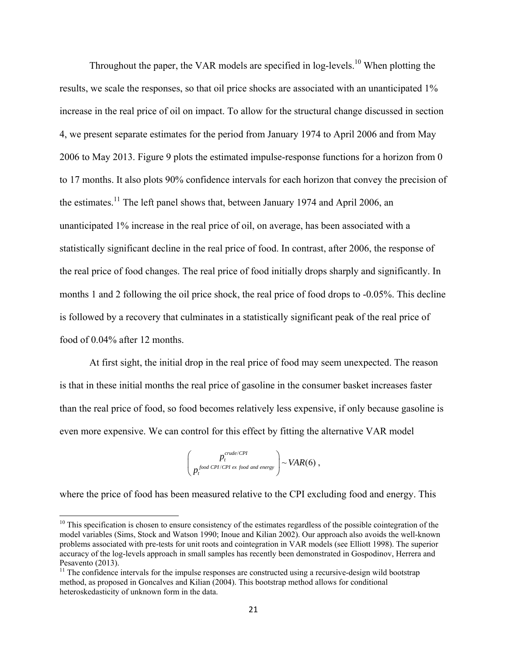Throughout the paper, the VAR models are specified in log-levels.<sup>10</sup> When plotting the results, we scale the responses, so that oil price shocks are associated with an unanticipated 1% increase in the real price of oil on impact. To allow for the structural change discussed in section 4, we present separate estimates for the period from January 1974 to April 2006 and from May 2006 to May 2013. Figure 9 plots the estimated impulse-response functions for a horizon from 0 to 17 months. It also plots 90% confidence intervals for each horizon that convey the precision of the estimates.<sup>11</sup> The left panel shows that, between January 1974 and April 2006, an unanticipated 1% increase in the real price of oil, on average, has been associated with a statistically significant decline in the real price of food. In contrast, after 2006, the response of the real price of food changes. The real price of food initially drops sharply and significantly. In months 1 and 2 following the oil price shock, the real price of food drops to -0.05%. This decline is followed by a recovery that culminates in a statistically significant peak of the real price of food of 0.04% after 12 months.

 At first sight, the initial drop in the real price of food may seem unexpected. The reason is that in these initial months the real price of gasoline in the consumer basket increases faster than the real price of food, so food becomes relatively less expensive, if only because gasoline is even more expensive. We can control for this effect by fitting the alternative VAR model

$$
\begin{pmatrix} p_t^{crude/CPI} \\ p_t^{food \, CPL/CPI \, ex \, food \, and \, energy} \end{pmatrix} \sim VAR(6) \,,
$$

where the price of food has been measured relative to the CPI excluding food and energy. This

 $10$  This specification is chosen to ensure consistency of the estimates regardless of the possible cointegration of the model variables (Sims, Stock and Watson 1990; Inoue and Kilian 2002). Our approach also avoids the well-known problems associated with pre-tests for unit roots and cointegration in VAR models (see Elliott 1998). The superior accuracy of the log-levels approach in small samples has recently been demonstrated in Gospodinov, Herrera and Pesavento (2013).

<sup>&</sup>lt;sup>11</sup> The confidence intervals for the impulse responses are constructed using a recursive-design wild bootstrap method, as proposed in Goncalves and Kilian (2004). This bootstrap method allows for conditional heteroskedasticity of unknown form in the data.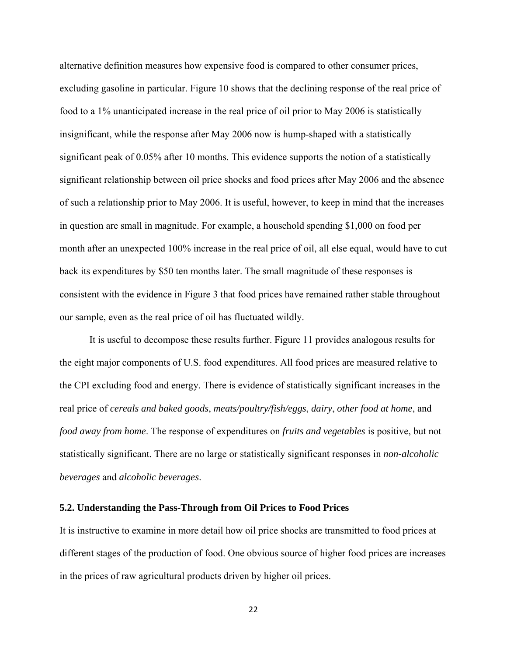alternative definition measures how expensive food is compared to other consumer prices, excluding gasoline in particular. Figure 10 shows that the declining response of the real price of food to a 1% unanticipated increase in the real price of oil prior to May 2006 is statistically insignificant, while the response after May 2006 now is hump-shaped with a statistically significant peak of 0.05% after 10 months. This evidence supports the notion of a statistically significant relationship between oil price shocks and food prices after May 2006 and the absence of such a relationship prior to May 2006. It is useful, however, to keep in mind that the increases in question are small in magnitude. For example, a household spending \$1,000 on food per month after an unexpected 100% increase in the real price of oil, all else equal, would have to cut back its expenditures by \$50 ten months later. The small magnitude of these responses is consistent with the evidence in Figure 3 that food prices have remained rather stable throughout our sample, even as the real price of oil has fluctuated wildly.

It is useful to decompose these results further. Figure 11 provides analogous results for the eight major components of U.S. food expenditures. All food prices are measured relative to the CPI excluding food and energy. There is evidence of statistically significant increases in the real price of *cereals and baked goods*, *meats/poultry/fish/eggs*, *dairy*, *other food at home*, and *food away from home*. The response of expenditures on *fruits and vegetables* is positive, but not statistically significant. There are no large or statistically significant responses in *non-alcoholic beverages* and *alcoholic beverages*.

#### **5.2. Understanding the Pass-Through from Oil Prices to Food Prices**

It is instructive to examine in more detail how oil price shocks are transmitted to food prices at different stages of the production of food. One obvious source of higher food prices are increases in the prices of raw agricultural products driven by higher oil prices.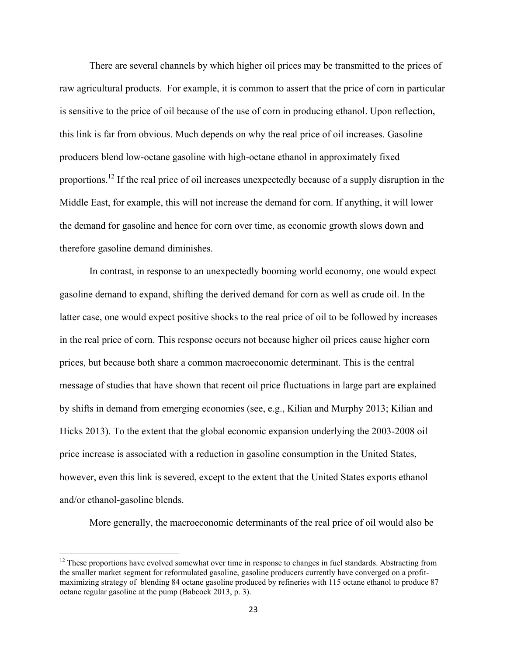There are several channels by which higher oil prices may be transmitted to the prices of raw agricultural products. For example, it is common to assert that the price of corn in particular is sensitive to the price of oil because of the use of corn in producing ethanol. Upon reflection, this link is far from obvious. Much depends on why the real price of oil increases. Gasoline producers blend low-octane gasoline with high-octane ethanol in approximately fixed proportions.12 If the real price of oil increases unexpectedly because of a supply disruption in the Middle East, for example, this will not increase the demand for corn. If anything, it will lower the demand for gasoline and hence for corn over time, as economic growth slows down and therefore gasoline demand diminishes.

 In contrast, in response to an unexpectedly booming world economy, one would expect gasoline demand to expand, shifting the derived demand for corn as well as crude oil. In the latter case, one would expect positive shocks to the real price of oil to be followed by increases in the real price of corn. This response occurs not because higher oil prices cause higher corn prices, but because both share a common macroeconomic determinant. This is the central message of studies that have shown that recent oil price fluctuations in large part are explained by shifts in demand from emerging economies (see, e.g., Kilian and Murphy 2013; Kilian and Hicks 2013). To the extent that the global economic expansion underlying the 2003-2008 oil price increase is associated with a reduction in gasoline consumption in the United States, however, even this link is severed, except to the extent that the United States exports ethanol and/or ethanol-gasoline blends.

More generally, the macroeconomic determinants of the real price of oil would also be

<sup>&</sup>lt;sup>12</sup> These proportions have evolved somewhat over time in response to changes in fuel standards. Abstracting from the smaller market segment for reformulated gasoline, gasoline producers currently have converged on a profitmaximizing strategy of blending 84 octane gasoline produced by refineries with 115 octane ethanol to produce 87 octane regular gasoline at the pump (Babcock 2013, p. 3).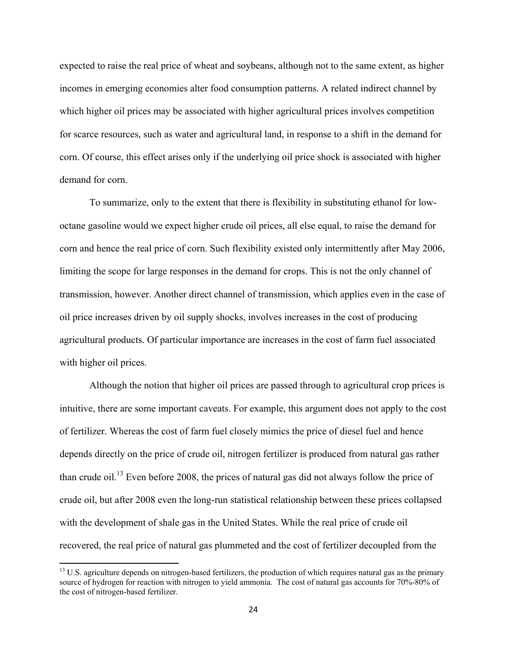expected to raise the real price of wheat and soybeans, although not to the same extent, as higher incomes in emerging economies alter food consumption patterns. A related indirect channel by which higher oil prices may be associated with higher agricultural prices involves competition for scarce resources, such as water and agricultural land, in response to a shift in the demand for corn. Of course, this effect arises only if the underlying oil price shock is associated with higher demand for corn.

To summarize, only to the extent that there is flexibility in substituting ethanol for lowoctane gasoline would we expect higher crude oil prices, all else equal, to raise the demand for corn and hence the real price of corn. Such flexibility existed only intermittently after May 2006, limiting the scope for large responses in the demand for crops. This is not the only channel of transmission, however. Another direct channel of transmission, which applies even in the case of oil price increases driven by oil supply shocks, involves increases in the cost of producing agricultural products. Of particular importance are increases in the cost of farm fuel associated with higher oil prices.

Although the notion that higher oil prices are passed through to agricultural crop prices is intuitive, there are some important caveats. For example, this argument does not apply to the cost of fertilizer. Whereas the cost of farm fuel closely mimics the price of diesel fuel and hence depends directly on the price of crude oil, nitrogen fertilizer is produced from natural gas rather than crude oil.13 Even before 2008, the prices of natural gas did not always follow the price of crude oil, but after 2008 even the long-run statistical relationship between these prices collapsed with the development of shale gas in the United States. While the real price of crude oil recovered, the real price of natural gas plummeted and the cost of fertilizer decoupled from the

 $<sup>13</sup>$  U.S. agriculture depends on nitrogen-based fertilizers, the production of which requires natural gas as the primary</sup> source of hydrogen for reaction with nitrogen to yield ammonia. The cost of natural gas accounts for 70%-80% of the cost of nitrogen-based fertilizer.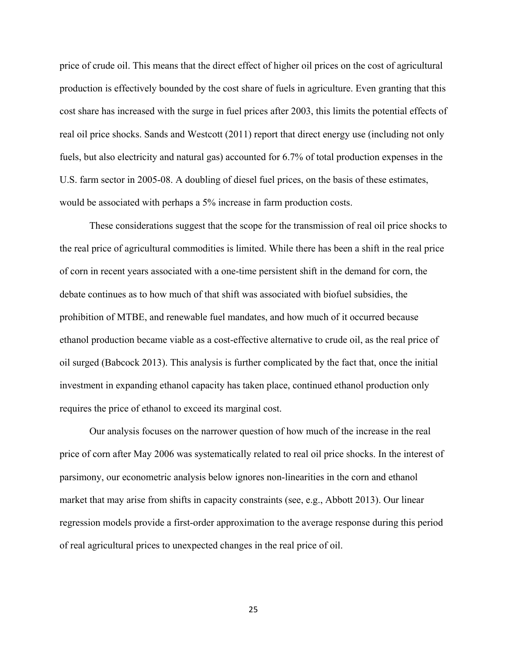price of crude oil. This means that the direct effect of higher oil prices on the cost of agricultural production is effectively bounded by the cost share of fuels in agriculture. Even granting that this cost share has increased with the surge in fuel prices after 2003, this limits the potential effects of real oil price shocks. Sands and Westcott (2011) report that direct energy use (including not only fuels, but also electricity and natural gas) accounted for 6.7% of total production expenses in the U.S. farm sector in 2005-08. A doubling of diesel fuel prices, on the basis of these estimates, would be associated with perhaps a 5% increase in farm production costs.

 These considerations suggest that the scope for the transmission of real oil price shocks to the real price of agricultural commodities is limited. While there has been a shift in the real price of corn in recent years associated with a one-time persistent shift in the demand for corn, the debate continues as to how much of that shift was associated with biofuel subsidies, the prohibition of MTBE, and renewable fuel mandates, and how much of it occurred because ethanol production became viable as a cost-effective alternative to crude oil, as the real price of oil surged (Babcock 2013). This analysis is further complicated by the fact that, once the initial investment in expanding ethanol capacity has taken place, continued ethanol production only requires the price of ethanol to exceed its marginal cost.

 Our analysis focuses on the narrower question of how much of the increase in the real price of corn after May 2006 was systematically related to real oil price shocks. In the interest of parsimony, our econometric analysis below ignores non-linearities in the corn and ethanol market that may arise from shifts in capacity constraints (see, e.g., Abbott 2013). Our linear regression models provide a first-order approximation to the average response during this period of real agricultural prices to unexpected changes in the real price of oil.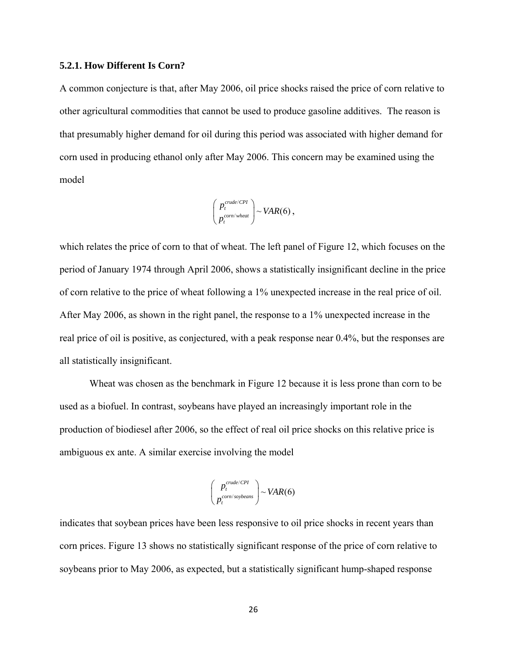#### **5.2.1. How Different Is Corn?**

A common conjecture is that, after May 2006, oil price shocks raised the price of corn relative to other agricultural commodities that cannot be used to produce gasoline additives. The reason is that presumably higher demand for oil during this period was associated with higher demand for corn used in producing ethanol only after May 2006. This concern may be examined using the model

$$
\begin{pmatrix} p_t^{crude/CPI} \\ p_t^{com/wheat} \end{pmatrix} \sim VAR(6)
$$
,

which relates the price of corn to that of wheat. The left panel of Figure 12, which focuses on the period of January 1974 through April 2006, shows a statistically insignificant decline in the price of corn relative to the price of wheat following a 1% unexpected increase in the real price of oil. After May 2006, as shown in the right panel, the response to a 1% unexpected increase in the real price of oil is positive, as conjectured, with a peak response near 0.4%, but the responses are all statistically insignificant.

 Wheat was chosen as the benchmark in Figure 12 because it is less prone than corn to be used as a biofuel. In contrast, soybeans have played an increasingly important role in the production of biodiesel after 2006, so the effect of real oil price shocks on this relative price is ambiguous ex ante. A similar exercise involving the model

$$
\begin{pmatrix} p_t^{crude/CPI} \\ p_t^{com/soybeans} \end{pmatrix} \sim VAR(6)
$$

indicates that soybean prices have been less responsive to oil price shocks in recent years than corn prices. Figure 13 shows no statistically significant response of the price of corn relative to soybeans prior to May 2006, as expected, but a statistically significant hump-shaped response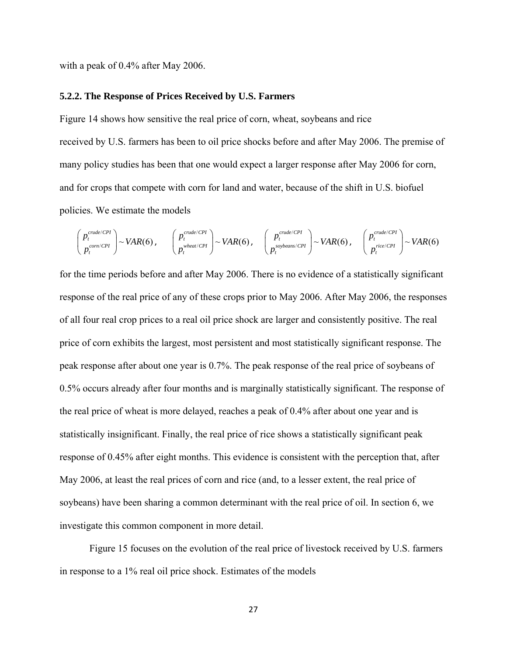with a peak of 0.4% after May 2006.

#### **5.2.2. The Response of Prices Received by U.S. Farmers**

Figure 14 shows how sensitive the real price of corn, wheat, soybeans and rice received by U.S. farmers has been to oil price shocks before and after May 2006. The premise of many policy studies has been that one would expect a larger response after May 2006 for corn, and for crops that compete with corn for land and water, because of the shift in U.S. biofuel policies. We estimate the models

$$
\begin{pmatrix} p_t^{crude/CPI} \\ p_t^{com/CPI} \end{pmatrix} \sim VAR(6), \qquad \begin{pmatrix} p_t^{crude/CPI} \\ p_t^{wheat/CPI} \end{pmatrix} \sim VAR(6), \qquad \begin{pmatrix} p_t^{crude/CPI} \\ p_t^{soybeans/CPI} \end{pmatrix} \sim VAR(6), \qquad \begin{pmatrix} p_t^{crude/CPI} \\ p_t^{rice/CPI} \end{pmatrix} \sim VAR(6)
$$

for the time periods before and after May 2006. There is no evidence of a statistically significant response of the real price of any of these crops prior to May 2006. After May 2006, the responses of all four real crop prices to a real oil price shock are larger and consistently positive. The real price of corn exhibits the largest, most persistent and most statistically significant response. The peak response after about one year is 0.7%. The peak response of the real price of soybeans of 0.5% occurs already after four months and is marginally statistically significant. The response of the real price of wheat is more delayed, reaches a peak of 0.4% after about one year and is statistically insignificant. Finally, the real price of rice shows a statistically significant peak response of 0.45% after eight months. This evidence is consistent with the perception that, after May 2006, at least the real prices of corn and rice (and, to a lesser extent, the real price of soybeans) have been sharing a common determinant with the real price of oil. In section 6, we investigate this common component in more detail.

 Figure 15 focuses on the evolution of the real price of livestock received by U.S. farmers in response to a 1% real oil price shock. Estimates of the models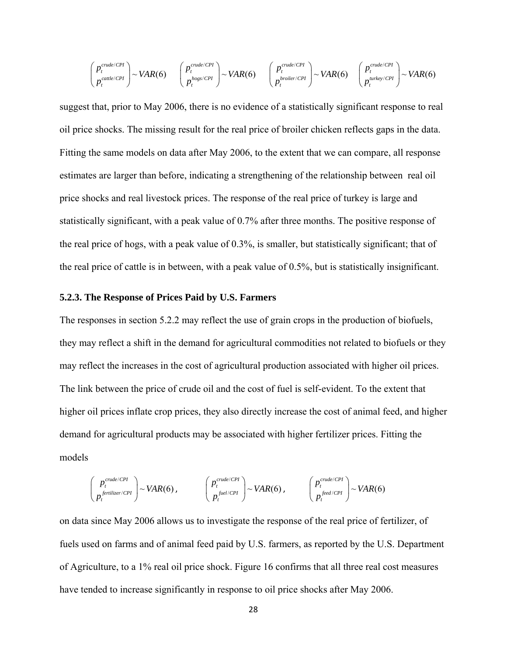$$
\begin{pmatrix} p_t^{crude/CPI} \\ p_t^{cattle/CPI} \end{pmatrix} \sim VAR(6) \qquad \begin{pmatrix} p_t^{crude/CPI} \\ p_t^{hogs/CPI} \end{pmatrix} \sim VAR(6) \qquad \begin{pmatrix} p_t^{crude/CPI} \\ p_t^{brolier/CPI} \end{pmatrix} \sim VAR(6) \qquad \begin{pmatrix} p_t^{crude/CPI} \\ p_t^{hrolier/CPI} \end{pmatrix} \sim VAR(6)
$$

suggest that, prior to May 2006, there is no evidence of a statistically significant response to real oil price shocks. The missing result for the real price of broiler chicken reflects gaps in the data. Fitting the same models on data after May 2006, to the extent that we can compare, all response estimates are larger than before, indicating a strengthening of the relationship between real oil price shocks and real livestock prices. The response of the real price of turkey is large and statistically significant, with a peak value of 0.7% after three months. The positive response of the real price of hogs, with a peak value of 0.3%, is smaller, but statistically significant; that of the real price of cattle is in between, with a peak value of 0.5%, but is statistically insignificant.

#### **5.2.3. The Response of Prices Paid by U.S. Farmers**

The responses in section 5.2.2 may reflect the use of grain crops in the production of biofuels, they may reflect a shift in the demand for agricultural commodities not related to biofuels or they may reflect the increases in the cost of agricultural production associated with higher oil prices. The link between the price of crude oil and the cost of fuel is self-evident. To the extent that higher oil prices inflate crop prices, they also directly increase the cost of animal feed, and higher demand for agricultural products may be associated with higher fertilizer prices. Fitting the models

$$
\begin{pmatrix} p_t^{crude/CPI} \\ p_t^{ferilizer/CPI} \end{pmatrix} \sim VAR(6), \qquad \begin{pmatrix} p_t^{crude/CPI} \\ p_t^{fuel/CPI} \end{pmatrix} \sim VAR(6), \qquad \begin{pmatrix} p_t^{crude/CPI} \\ p_t^{feed/CPI} \end{pmatrix} \sim VAR(6)
$$

on data since May 2006 allows us to investigate the response of the real price of fertilizer, of fuels used on farms and of animal feed paid by U.S. farmers, as reported by the U.S. Department of Agriculture, to a 1% real oil price shock. Figure 16 confirms that all three real cost measures have tended to increase significantly in response to oil price shocks after May 2006.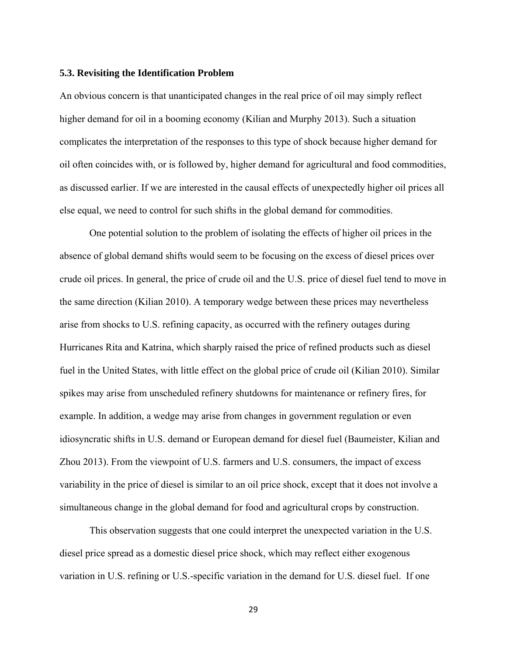#### **5.3. Revisiting the Identification Problem**

An obvious concern is that unanticipated changes in the real price of oil may simply reflect higher demand for oil in a booming economy (Kilian and Murphy 2013). Such a situation complicates the interpretation of the responses to this type of shock because higher demand for oil often coincides with, or is followed by, higher demand for agricultural and food commodities, as discussed earlier. If we are interested in the causal effects of unexpectedly higher oil prices all else equal, we need to control for such shifts in the global demand for commodities.

One potential solution to the problem of isolating the effects of higher oil prices in the absence of global demand shifts would seem to be focusing on the excess of diesel prices over crude oil prices. In general, the price of crude oil and the U.S. price of diesel fuel tend to move in the same direction (Kilian 2010). A temporary wedge between these prices may nevertheless arise from shocks to U.S. refining capacity, as occurred with the refinery outages during Hurricanes Rita and Katrina, which sharply raised the price of refined products such as diesel fuel in the United States, with little effect on the global price of crude oil (Kilian 2010). Similar spikes may arise from unscheduled refinery shutdowns for maintenance or refinery fires, for example. In addition, a wedge may arise from changes in government regulation or even idiosyncratic shifts in U.S. demand or European demand for diesel fuel (Baumeister, Kilian and Zhou 2013). From the viewpoint of U.S. farmers and U.S. consumers, the impact of excess variability in the price of diesel is similar to an oil price shock, except that it does not involve a simultaneous change in the global demand for food and agricultural crops by construction.

This observation suggests that one could interpret the unexpected variation in the U.S. diesel price spread as a domestic diesel price shock, which may reflect either exogenous variation in U.S. refining or U.S.-specific variation in the demand for U.S. diesel fuel. If one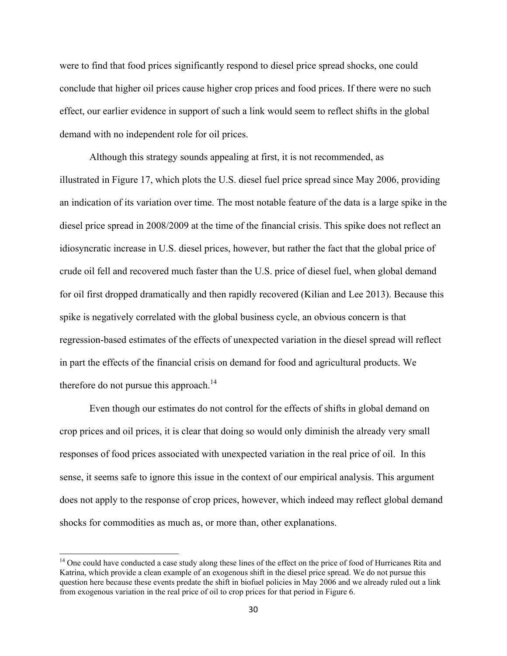were to find that food prices significantly respond to diesel price spread shocks, one could conclude that higher oil prices cause higher crop prices and food prices. If there were no such effect, our earlier evidence in support of such a link would seem to reflect shifts in the global demand with no independent role for oil prices.

Although this strategy sounds appealing at first, it is not recommended, as illustrated in Figure 17, which plots the U.S. diesel fuel price spread since May 2006, providing an indication of its variation over time. The most notable feature of the data is a large spike in the diesel price spread in 2008/2009 at the time of the financial crisis. This spike does not reflect an idiosyncratic increase in U.S. diesel prices, however, but rather the fact that the global price of crude oil fell and recovered much faster than the U.S. price of diesel fuel, when global demand for oil first dropped dramatically and then rapidly recovered (Kilian and Lee 2013). Because this spike is negatively correlated with the global business cycle, an obvious concern is that regression-based estimates of the effects of unexpected variation in the diesel spread will reflect in part the effects of the financial crisis on demand for food and agricultural products. We therefore do not pursue this approach.<sup>14</sup>

Even though our estimates do not control for the effects of shifts in global demand on crop prices and oil prices, it is clear that doing so would only diminish the already very small responses of food prices associated with unexpected variation in the real price of oil. In this sense, it seems safe to ignore this issue in the context of our empirical analysis. This argument does not apply to the response of crop prices, however, which indeed may reflect global demand shocks for commodities as much as, or more than, other explanations.

<sup>&</sup>lt;sup>14</sup> One could have conducted a case study along these lines of the effect on the price of food of Hurricanes Rita and Katrina, which provide a clean example of an exogenous shift in the diesel price spread. We do not pursue this question here because these events predate the shift in biofuel policies in May 2006 and we already ruled out a link from exogenous variation in the real price of oil to crop prices for that period in Figure 6.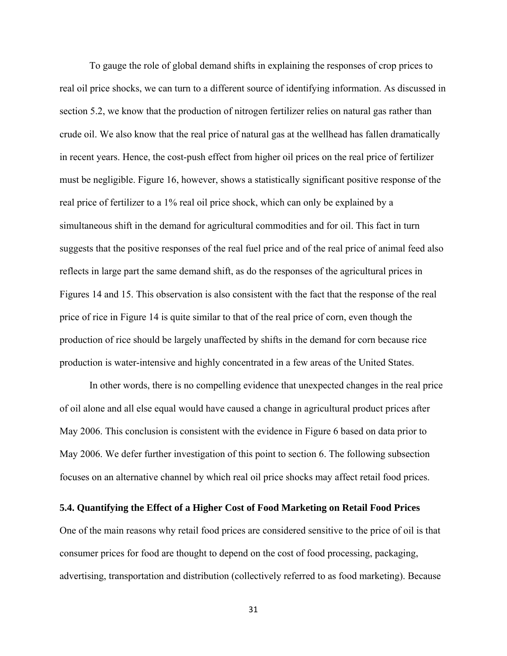To gauge the role of global demand shifts in explaining the responses of crop prices to real oil price shocks, we can turn to a different source of identifying information. As discussed in section 5.2, we know that the production of nitrogen fertilizer relies on natural gas rather than crude oil. We also know that the real price of natural gas at the wellhead has fallen dramatically in recent years. Hence, the cost-push effect from higher oil prices on the real price of fertilizer must be negligible. Figure 16, however, shows a statistically significant positive response of the real price of fertilizer to a 1% real oil price shock, which can only be explained by a simultaneous shift in the demand for agricultural commodities and for oil. This fact in turn suggests that the positive responses of the real fuel price and of the real price of animal feed also reflects in large part the same demand shift, as do the responses of the agricultural prices in Figures 14 and 15. This observation is also consistent with the fact that the response of the real price of rice in Figure 14 is quite similar to that of the real price of corn, even though the production of rice should be largely unaffected by shifts in the demand for corn because rice production is water-intensive and highly concentrated in a few areas of the United States.

In other words, there is no compelling evidence that unexpected changes in the real price of oil alone and all else equal would have caused a change in agricultural product prices after May 2006. This conclusion is consistent with the evidence in Figure 6 based on data prior to May 2006. We defer further investigation of this point to section 6. The following subsection focuses on an alternative channel by which real oil price shocks may affect retail food prices.

#### **5.4. Quantifying the Effect of a Higher Cost of Food Marketing on Retail Food Prices**

One of the main reasons why retail food prices are considered sensitive to the price of oil is that consumer prices for food are thought to depend on the cost of food processing, packaging, advertising, transportation and distribution (collectively referred to as food marketing). Because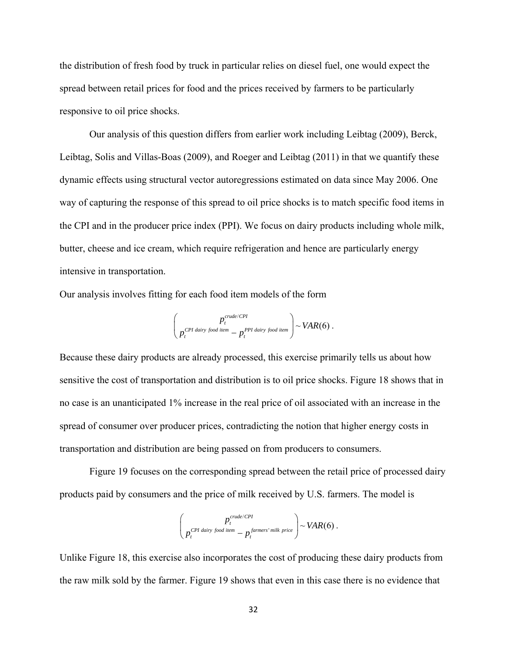the distribution of fresh food by truck in particular relies on diesel fuel, one would expect the spread between retail prices for food and the prices received by farmers to be particularly responsive to oil price shocks.

Our analysis of this question differs from earlier work including Leibtag (2009), Berck, Leibtag, Solis and Villas-Boas (2009), and Roeger and Leibtag (2011) in that we quantify these dynamic effects using structural vector autoregressions estimated on data since May 2006. One way of capturing the response of this spread to oil price shocks is to match specific food items in the CPI and in the producer price index (PPI). We focus on dairy products including whole milk, butter, cheese and ice cream, which require refrigeration and hence are particularly energy intensive in transportation.

Our analysis involves fitting for each food item models of the form

$$
\begin{pmatrix} p_t^{crude/CPI} \\ p_t^{CPI \; dairy \; food \; item} - p_t^{PPI \; dairy \; food \; item} \end{pmatrix} \sim VAR(6) \; .
$$

Because these dairy products are already processed, this exercise primarily tells us about how sensitive the cost of transportation and distribution is to oil price shocks. Figure 18 shows that in no case is an unanticipated 1% increase in the real price of oil associated with an increase in the spread of consumer over producer prices, contradicting the notion that higher energy costs in transportation and distribution are being passed on from producers to consumers.

 Figure 19 focuses on the corresponding spread between the retail price of processed dairy products paid by consumers and the price of milk received by U.S. farmers. The model is

$$
\left(\frac{p_t^{crude/CPI}}{p_t^{CPI\,\,dairy\,\,food\,\,item}} - p_t^{\,\, farmers'\,\,milk\,\,price}\right) \sim VAR(6) \; .
$$

Unlike Figure 18, this exercise also incorporates the cost of producing these dairy products from the raw milk sold by the farmer. Figure 19 shows that even in this case there is no evidence that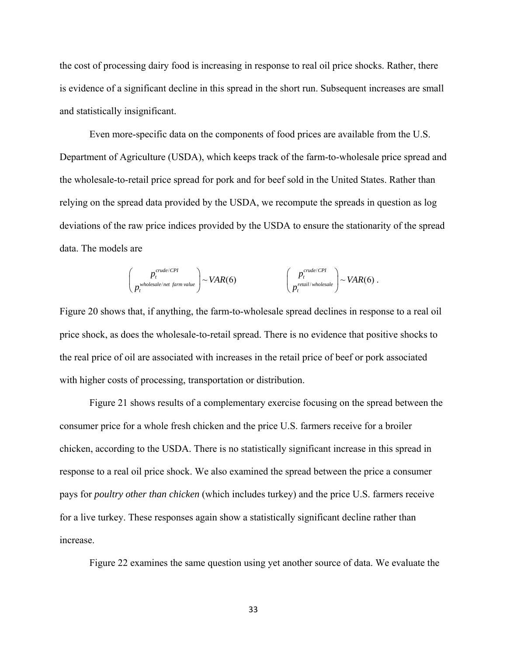the cost of processing dairy food is increasing in response to real oil price shocks. Rather, there is evidence of a significant decline in this spread in the short run. Subsequent increases are small and statistically insignificant.

 Even more-specific data on the components of food prices are available from the U.S. Department of Agriculture (USDA), which keeps track of the farm-to-wholesale price spread and the wholesale-to-retail price spread for pork and for beef sold in the United States. Rather than relying on the spread data provided by the USDA, we recompute the spreads in question as log deviations of the raw price indices provided by the USDA to ensure the stationarity of the spread data. The models are

$$
\begin{pmatrix} p_t^{crude/CPI} \\ p_t^{wholesale/net farm value} \end{pmatrix} \sim VAR(6) \qquad \begin{pmatrix} p_t^{crude/CPI} \\ p_t^{retail/wholesale} \end{pmatrix} \sim VAR(6)
$$

.

Figure 20 shows that, if anything, the farm-to-wholesale spread declines in response to a real oil price shock, as does the wholesale-to-retail spread. There is no evidence that positive shocks to the real price of oil are associated with increases in the retail price of beef or pork associated with higher costs of processing, transportation or distribution.

 Figure 21 shows results of a complementary exercise focusing on the spread between the consumer price for a whole fresh chicken and the price U.S. farmers receive for a broiler chicken, according to the USDA. There is no statistically significant increase in this spread in response to a real oil price shock. We also examined the spread between the price a consumer pays for *poultry other than chicken* (which includes turkey) and the price U.S. farmers receive for a live turkey. These responses again show a statistically significant decline rather than increase.

Figure 22 examines the same question using yet another source of data. We evaluate the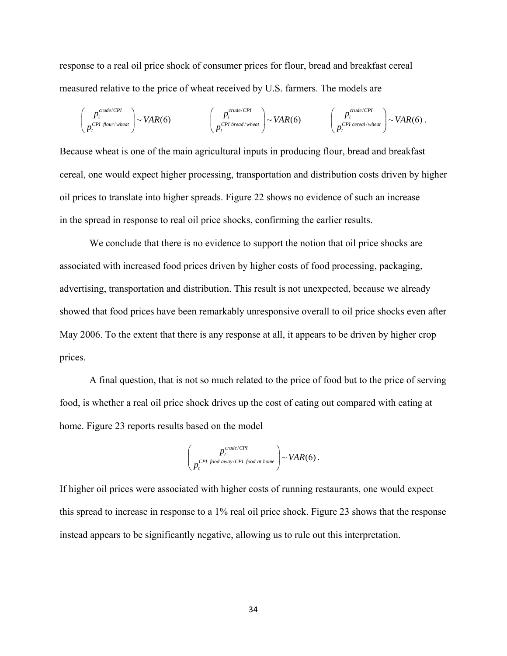response to a real oil price shock of consumer prices for flour, bread and breakfast cereal measured relative to the price of wheat received by U.S. farmers. The models are

$$
\begin{pmatrix} p_t^{crude/CPI} \\ p_t^{CPI\;flow/wheat} \end{pmatrix} \sim VAR(6) \qquad \begin{pmatrix} p_t^{crude/CPI} \\ p_t^{CPI\;bread/wheat} \end{pmatrix} \sim VAR(6) \qquad \begin{pmatrix} p_t^{crude/CPI} \\ p_t^{CPI\;cereal/wheat} \end{pmatrix} \sim VAR(6) \, .
$$

Because wheat is one of the main agricultural inputs in producing flour, bread and breakfast cereal, one would expect higher processing, transportation and distribution costs driven by higher oil prices to translate into higher spreads. Figure 22 shows no evidence of such an increase in the spread in response to real oil price shocks, confirming the earlier results.

 We conclude that there is no evidence to support the notion that oil price shocks are associated with increased food prices driven by higher costs of food processing, packaging, advertising, transportation and distribution. This result is not unexpected, because we already showed that food prices have been remarkably unresponsive overall to oil price shocks even after May 2006. To the extent that there is any response at all, it appears to be driven by higher crop prices.

 A final question, that is not so much related to the price of food but to the price of serving food, is whether a real oil price shock drives up the cost of eating out compared with eating at home. Figure 23 reports results based on the model

$$
\begin{pmatrix} p_t^{crude/CPI} \\ p_t^{CPI\ food\ away/CPI\ food\ at\ home} \end{pmatrix} \sim VAR(6) \ .
$$

If higher oil prices were associated with higher costs of running restaurants, one would expect this spread to increase in response to a 1% real oil price shock. Figure 23 shows that the response instead appears to be significantly negative, allowing us to rule out this interpretation.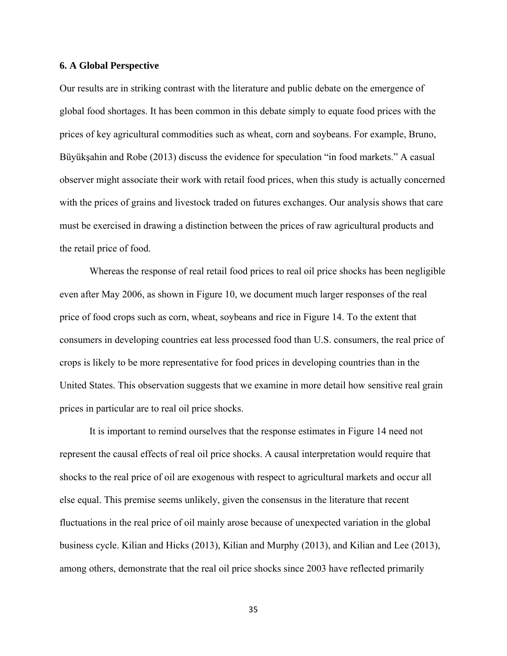#### **6. A Global Perspective**

Our results are in striking contrast with the literature and public debate on the emergence of global food shortages. It has been common in this debate simply to equate food prices with the prices of key agricultural commodities such as wheat, corn and soybeans. For example, Bruno, Büyükşahin and Robe (2013) discuss the evidence for speculation "in food markets." A casual observer might associate their work with retail food prices, when this study is actually concerned with the prices of grains and livestock traded on futures exchanges. Our analysis shows that care must be exercised in drawing a distinction between the prices of raw agricultural products and the retail price of food.

 Whereas the response of real retail food prices to real oil price shocks has been negligible even after May 2006, as shown in Figure 10, we document much larger responses of the real price of food crops such as corn, wheat, soybeans and rice in Figure 14. To the extent that consumers in developing countries eat less processed food than U.S. consumers, the real price of crops is likely to be more representative for food prices in developing countries than in the United States. This observation suggests that we examine in more detail how sensitive real grain prices in particular are to real oil price shocks.

 It is important to remind ourselves that the response estimates in Figure 14 need not represent the causal effects of real oil price shocks. A causal interpretation would require that shocks to the real price of oil are exogenous with respect to agricultural markets and occur all else equal. This premise seems unlikely, given the consensus in the literature that recent fluctuations in the real price of oil mainly arose because of unexpected variation in the global business cycle. Kilian and Hicks (2013), Kilian and Murphy (2013), and Kilian and Lee (2013), among others, demonstrate that the real oil price shocks since 2003 have reflected primarily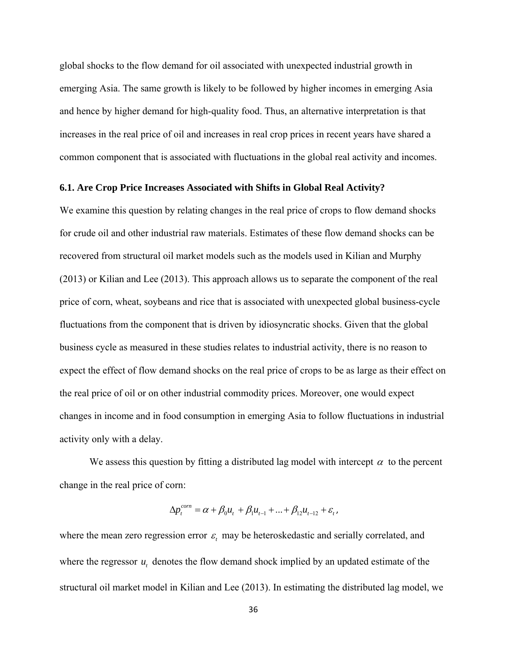global shocks to the flow demand for oil associated with unexpected industrial growth in emerging Asia. The same growth is likely to be followed by higher incomes in emerging Asia and hence by higher demand for high-quality food. Thus, an alternative interpretation is that increases in the real price of oil and increases in real crop prices in recent years have shared a common component that is associated with fluctuations in the global real activity and incomes.

## **6.1. Are Crop Price Increases Associated with Shifts in Global Real Activity?**

We examine this question by relating changes in the real price of crops to flow demand shocks for crude oil and other industrial raw materials. Estimates of these flow demand shocks can be recovered from structural oil market models such as the models used in Kilian and Murphy (2013) or Kilian and Lee (2013). This approach allows us to separate the component of the real price of corn, wheat, soybeans and rice that is associated with unexpected global business-cycle fluctuations from the component that is driven by idiosyncratic shocks. Given that the global business cycle as measured in these studies relates to industrial activity, there is no reason to expect the effect of flow demand shocks on the real price of crops to be as large as their effect on the real price of oil or on other industrial commodity prices. Moreover, one would expect changes in income and in food consumption in emerging Asia to follow fluctuations in industrial activity only with a delay.

We assess this question by fitting a distributed lag model with intercept  $\alpha$  to the percent change in the real price of corn:

$$
\Delta p_t^{com} = \alpha + \beta_0 u_t + \beta_1 u_{t-1} + \dots + \beta_{12} u_{t-12} + \varepsilon_t,
$$

where the mean zero regression error  $\varepsilon$  may be heteroskedastic and serially correlated, and where the regressor  $u_t$ , denotes the flow demand shock implied by an updated estimate of the structural oil market model in Kilian and Lee (2013). In estimating the distributed lag model, we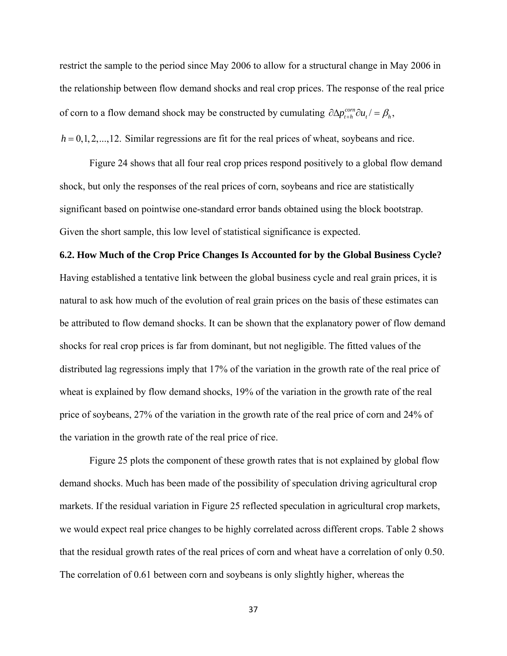restrict the sample to the period since May 2006 to allow for a structural change in May 2006 in the relationship between flow demand shocks and real crop prices. The response of the real price of corn to a flow demand shock may be constructed by cumulating  $\partial \Delta p_{t+h}^{com} \partial u_t = \beta_h$ ,

 $h = 0, 1, 2, \ldots, 12$ . Similar regressions are fit for the real prices of wheat, soybeans and rice.

 Figure 24 shows that all four real crop prices respond positively to a global flow demand shock, but only the responses of the real prices of corn, soybeans and rice are statistically significant based on pointwise one-standard error bands obtained using the block bootstrap. Given the short sample, this low level of statistical significance is expected.

**6.2. How Much of the Crop Price Changes Is Accounted for by the Global Business Cycle?**  Having established a tentative link between the global business cycle and real grain prices, it is natural to ask how much of the evolution of real grain prices on the basis of these estimates can be attributed to flow demand shocks. It can be shown that the explanatory power of flow demand shocks for real crop prices is far from dominant, but not negligible. The fitted values of the distributed lag regressions imply that 17% of the variation in the growth rate of the real price of wheat is explained by flow demand shocks, 19% of the variation in the growth rate of the real price of soybeans, 27% of the variation in the growth rate of the real price of corn and 24% of the variation in the growth rate of the real price of rice.

Figure 25 plots the component of these growth rates that is not explained by global flow demand shocks. Much has been made of the possibility of speculation driving agricultural crop markets. If the residual variation in Figure 25 reflected speculation in agricultural crop markets, we would expect real price changes to be highly correlated across different crops. Table 2 shows that the residual growth rates of the real prices of corn and wheat have a correlation of only 0.50. The correlation of 0.61 between corn and soybeans is only slightly higher, whereas the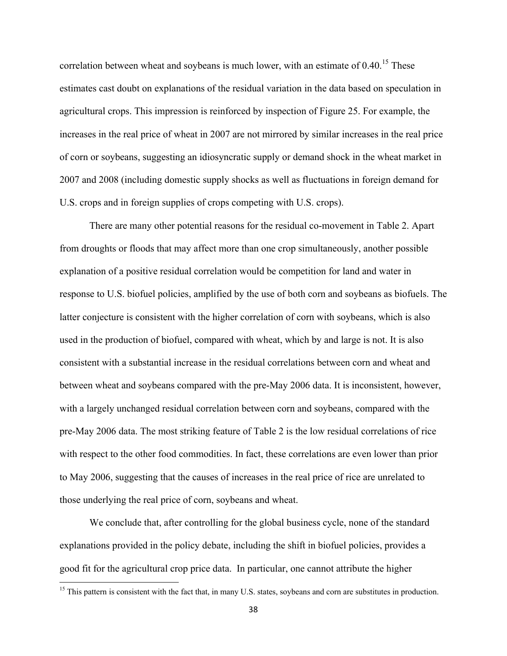correlation between wheat and soybeans is much lower, with an estimate of  $0.40^{15}$  These estimates cast doubt on explanations of the residual variation in the data based on speculation in agricultural crops. This impression is reinforced by inspection of Figure 25. For example, the increases in the real price of wheat in 2007 are not mirrored by similar increases in the real price of corn or soybeans, suggesting an idiosyncratic supply or demand shock in the wheat market in 2007 and 2008 (including domestic supply shocks as well as fluctuations in foreign demand for U.S. crops and in foreign supplies of crops competing with U.S. crops).

There are many other potential reasons for the residual co-movement in Table 2. Apart from droughts or floods that may affect more than one crop simultaneously, another possible explanation of a positive residual correlation would be competition for land and water in response to U.S. biofuel policies, amplified by the use of both corn and soybeans as biofuels. The latter conjecture is consistent with the higher correlation of corn with soybeans, which is also used in the production of biofuel, compared with wheat, which by and large is not. It is also consistent with a substantial increase in the residual correlations between corn and wheat and between wheat and soybeans compared with the pre-May 2006 data. It is inconsistent, however, with a largely unchanged residual correlation between corn and soybeans, compared with the pre-May 2006 data. The most striking feature of Table 2 is the low residual correlations of rice with respect to the other food commodities. In fact, these correlations are even lower than prior to May 2006, suggesting that the causes of increases in the real price of rice are unrelated to those underlying the real price of corn, soybeans and wheat.

We conclude that, after controlling for the global business cycle, none of the standard explanations provided in the policy debate, including the shift in biofuel policies, provides a good fit for the agricultural crop price data. In particular, one cannot attribute the higher

<sup>&</sup>lt;sup>15</sup> This pattern is consistent with the fact that, in many U.S. states, soybeans and corn are substitutes in production.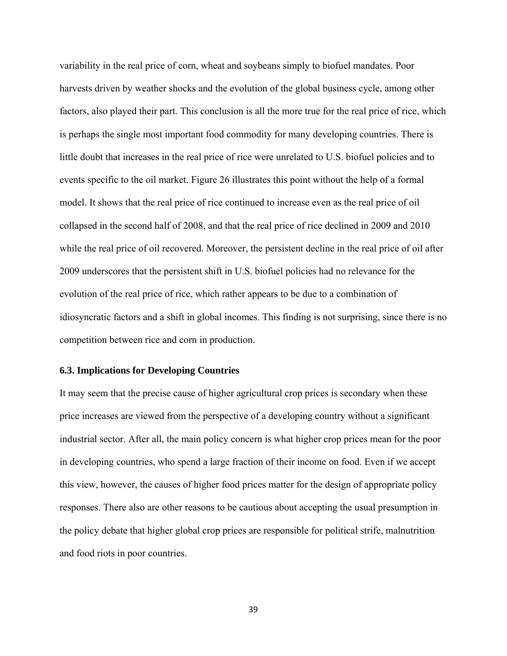variability in the real price of corn, wheat and soybeans simply to biofuel mandates. Poor harvests driven by weather shocks and the evolution of the global business cycle, among other factors, also played their part. This conclusion is all the more true for the real price of rice, which is perhaps the single most important food commodity for many developing countries. There is little doubt that increases in the real price of rice were unrelated to U.S. biofuel policies and to events specific to the oil market. Figure 26 illustrates this point without the help of a formal model. It shows that the real price of rice continued to increase even as the real price of oil collapsed in the second half of 2008, and that the real price of rice declined in 2009 and 2010 while the real price of oil recovered. Moreover, the persistent decline in the real price of oil after 2009 underscores that the persistent shift in U.S. biofuel policies had no relevance for the evolution of the real price of rice, which rather appears to be due to a combination of idiosyncratic factors and a shift in global incomes. This finding is not surprising, since there is no competition between rice and corn in production.

## **6.3. Implications for Developing Countries**

It may seem that the precise cause of higher agricultural crop prices is secondary when these price increases are viewed from the perspective of a developing country without a significant industrial sector. After all, the main policy concern is what higher crop prices mean for the poor in developing countries, who spend a large fraction of their income on food. Even if we accept this view, however, the causes of higher food prices matter for the design of appropriate policy responses. There also are other reasons to be cautious about accepting the usual presumption in the policy debate that higher global crop prices are responsible for political strife, malnutrition and food riots in poor countries.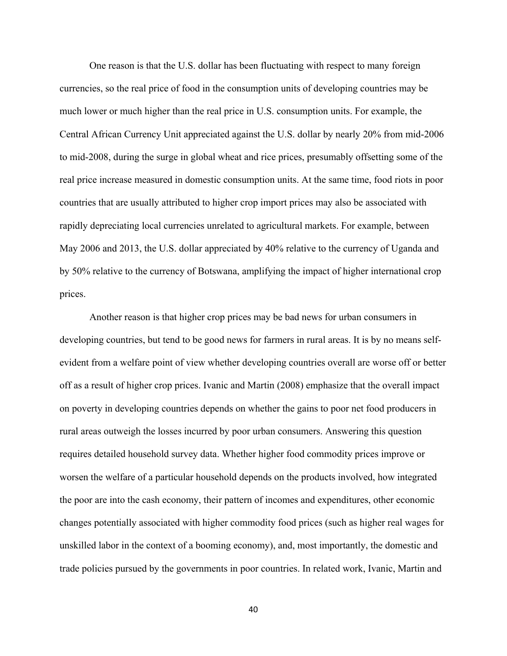One reason is that the U.S. dollar has been fluctuating with respect to many foreign currencies, so the real price of food in the consumption units of developing countries may be much lower or much higher than the real price in U.S. consumption units. For example, the Central African Currency Unit appreciated against the U.S. dollar by nearly 20% from mid-2006 to mid-2008, during the surge in global wheat and rice prices, presumably offsetting some of the real price increase measured in domestic consumption units. At the same time, food riots in poor countries that are usually attributed to higher crop import prices may also be associated with rapidly depreciating local currencies unrelated to agricultural markets. For example, between May 2006 and 2013, the U.S. dollar appreciated by 40% relative to the currency of Uganda and by 50% relative to the currency of Botswana, amplifying the impact of higher international crop prices.

Another reason is that higher crop prices may be bad news for urban consumers in developing countries, but tend to be good news for farmers in rural areas. It is by no means selfevident from a welfare point of view whether developing countries overall are worse off or better off as a result of higher crop prices. Ivanic and Martin (2008) emphasize that the overall impact on poverty in developing countries depends on whether the gains to poor net food producers in rural areas outweigh the losses incurred by poor urban consumers. Answering this question requires detailed household survey data. Whether higher food commodity prices improve or worsen the welfare of a particular household depends on the products involved, how integrated the poor are into the cash economy, their pattern of incomes and expenditures, other economic changes potentially associated with higher commodity food prices (such as higher real wages for unskilled labor in the context of a booming economy), and, most importantly, the domestic and trade policies pursued by the governments in poor countries. In related work, Ivanic, Martin and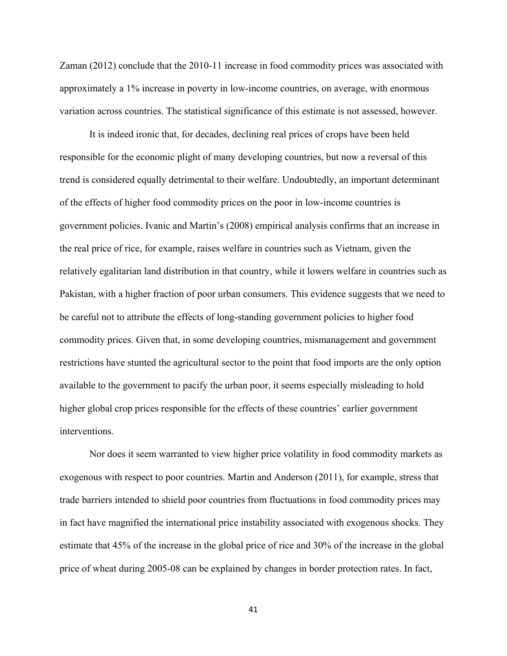Zaman (2012) conclude that the 2010-11 increase in food commodity prices was associated with approximately a 1% increase in poverty in low-income countries, on average, with enormous variation across countries. The statistical significance of this estimate is not assessed, however.

It is indeed ironic that, for decades, declining real prices of crops have been held responsible for the economic plight of many developing countries, but now a reversal of this trend is considered equally detrimental to their welfare. Undoubtedly, an important determinant of the effects of higher food commodity prices on the poor in low-income countries is government policies. Ivanic and Martin's (2008) empirical analysis confirms that an increase in the real price of rice, for example, raises welfare in countries such as Vietnam, given the relatively egalitarian land distribution in that country, while it lowers welfare in countries such as Pakistan, with a higher fraction of poor urban consumers. This evidence suggests that we need to be careful not to attribute the effects of long-standing government policies to higher food commodity prices. Given that, in some developing countries, mismanagement and government restrictions have stunted the agricultural sector to the point that food imports are the only option available to the government to pacify the urban poor, it seems especially misleading to hold higher global crop prices responsible for the effects of these countries' earlier government interventions.

Nor does it seem warranted to view higher price volatility in food commodity markets as exogenous with respect to poor countries. Martin and Anderson (2011), for example, stress that trade barriers intended to shield poor countries from fluctuations in food commodity prices may in fact have magnified the international price instability associated with exogenous shocks. They estimate that 45% of the increase in the global price of rice and 30% of the increase in the global price of wheat during 2005-08 can be explained by changes in border protection rates. In fact,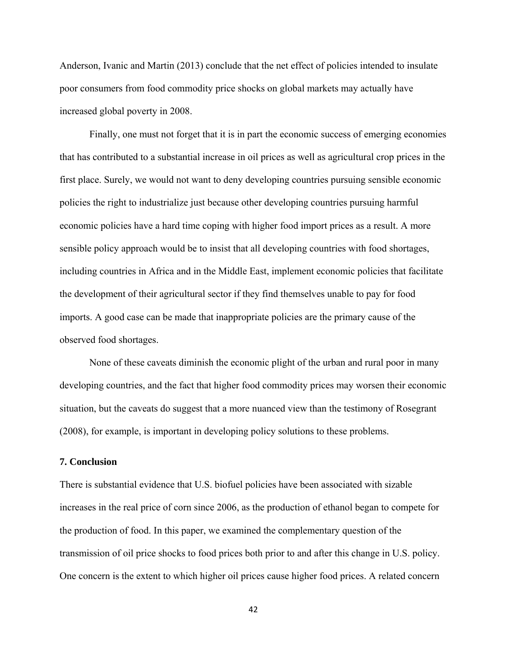Anderson, Ivanic and Martin (2013) conclude that the net effect of policies intended to insulate poor consumers from food commodity price shocks on global markets may actually have increased global poverty in 2008.

Finally, one must not forget that it is in part the economic success of emerging economies that has contributed to a substantial increase in oil prices as well as agricultural crop prices in the first place. Surely, we would not want to deny developing countries pursuing sensible economic policies the right to industrialize just because other developing countries pursuing harmful economic policies have a hard time coping with higher food import prices as a result. A more sensible policy approach would be to insist that all developing countries with food shortages, including countries in Africa and in the Middle East, implement economic policies that facilitate the development of their agricultural sector if they find themselves unable to pay for food imports. A good case can be made that inappropriate policies are the primary cause of the observed food shortages.

None of these caveats diminish the economic plight of the urban and rural poor in many developing countries, and the fact that higher food commodity prices may worsen their economic situation, but the caveats do suggest that a more nuanced view than the testimony of Rosegrant (2008), for example, is important in developing policy solutions to these problems.

## **7. Conclusion**

There is substantial evidence that U.S. biofuel policies have been associated with sizable increases in the real price of corn since 2006, as the production of ethanol began to compete for the production of food. In this paper, we examined the complementary question of the transmission of oil price shocks to food prices both prior to and after this change in U.S. policy. One concern is the extent to which higher oil prices cause higher food prices. A related concern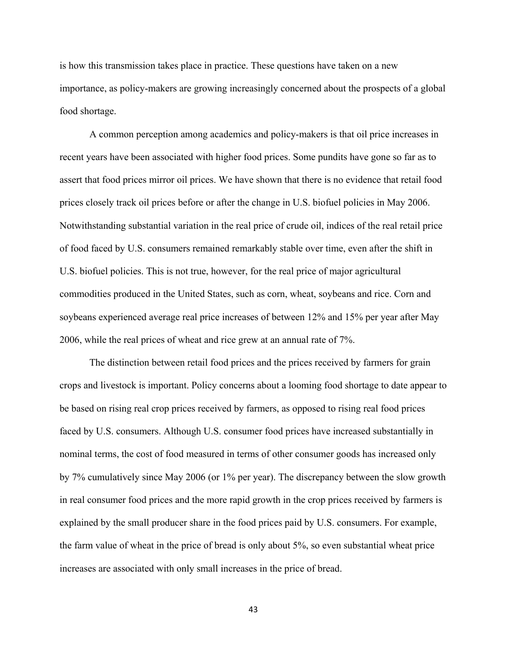is how this transmission takes place in practice. These questions have taken on a new importance, as policy-makers are growing increasingly concerned about the prospects of a global food shortage.

 A common perception among academics and policy-makers is that oil price increases in recent years have been associated with higher food prices. Some pundits have gone so far as to assert that food prices mirror oil prices. We have shown that there is no evidence that retail food prices closely track oil prices before or after the change in U.S. biofuel policies in May 2006. Notwithstanding substantial variation in the real price of crude oil, indices of the real retail price of food faced by U.S. consumers remained remarkably stable over time, even after the shift in U.S. biofuel policies. This is not true, however, for the real price of major agricultural commodities produced in the United States, such as corn, wheat, soybeans and rice. Corn and soybeans experienced average real price increases of between 12% and 15% per year after May 2006, while the real prices of wheat and rice grew at an annual rate of 7%.

The distinction between retail food prices and the prices received by farmers for grain crops and livestock is important. Policy concerns about a looming food shortage to date appear to be based on rising real crop prices received by farmers, as opposed to rising real food prices faced by U.S. consumers. Although U.S. consumer food prices have increased substantially in nominal terms, the cost of food measured in terms of other consumer goods has increased only by 7% cumulatively since May 2006 (or 1% per year). The discrepancy between the slow growth in real consumer food prices and the more rapid growth in the crop prices received by farmers is explained by the small producer share in the food prices paid by U.S. consumers. For example, the farm value of wheat in the price of bread is only about 5%, so even substantial wheat price increases are associated with only small increases in the price of bread.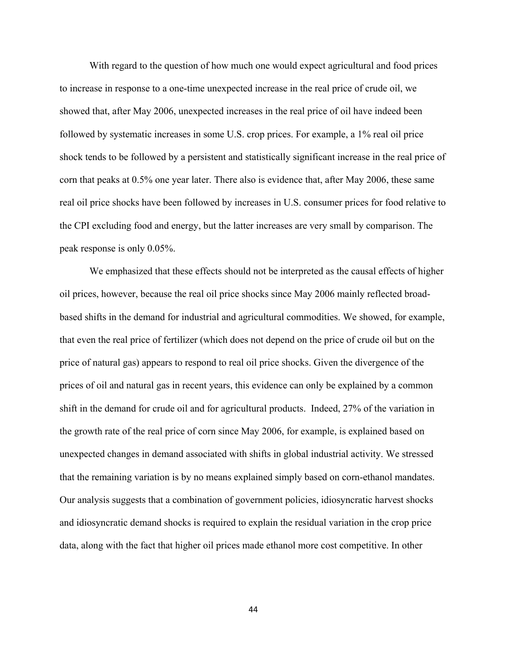With regard to the question of how much one would expect agricultural and food prices to increase in response to a one-time unexpected increase in the real price of crude oil, we showed that, after May 2006, unexpected increases in the real price of oil have indeed been followed by systematic increases in some U.S. crop prices. For example, a 1% real oil price shock tends to be followed by a persistent and statistically significant increase in the real price of corn that peaks at 0.5% one year later. There also is evidence that, after May 2006, these same real oil price shocks have been followed by increases in U.S. consumer prices for food relative to the CPI excluding food and energy, but the latter increases are very small by comparison. The peak response is only 0.05%.

We emphasized that these effects should not be interpreted as the causal effects of higher oil prices, however, because the real oil price shocks since May 2006 mainly reflected broadbased shifts in the demand for industrial and agricultural commodities. We showed, for example, that even the real price of fertilizer (which does not depend on the price of crude oil but on the price of natural gas) appears to respond to real oil price shocks. Given the divergence of the prices of oil and natural gas in recent years, this evidence can only be explained by a common shift in the demand for crude oil and for agricultural products. Indeed, 27% of the variation in the growth rate of the real price of corn since May 2006, for example, is explained based on unexpected changes in demand associated with shifts in global industrial activity. We stressed that the remaining variation is by no means explained simply based on corn-ethanol mandates. Our analysis suggests that a combination of government policies, idiosyncratic harvest shocks and idiosyncratic demand shocks is required to explain the residual variation in the crop price data, along with the fact that higher oil prices made ethanol more cost competitive. In other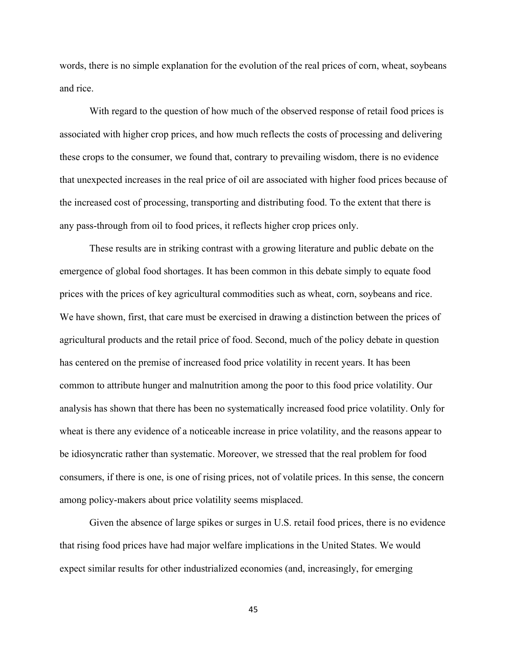words, there is no simple explanation for the evolution of the real prices of corn, wheat, soybeans and rice.

 With regard to the question of how much of the observed response of retail food prices is associated with higher crop prices, and how much reflects the costs of processing and delivering these crops to the consumer, we found that, contrary to prevailing wisdom, there is no evidence that unexpected increases in the real price of oil are associated with higher food prices because of the increased cost of processing, transporting and distributing food. To the extent that there is any pass-through from oil to food prices, it reflects higher crop prices only.

 These results are in striking contrast with a growing literature and public debate on the emergence of global food shortages. It has been common in this debate simply to equate food prices with the prices of key agricultural commodities such as wheat, corn, soybeans and rice. We have shown, first, that care must be exercised in drawing a distinction between the prices of agricultural products and the retail price of food. Second, much of the policy debate in question has centered on the premise of increased food price volatility in recent years. It has been common to attribute hunger and malnutrition among the poor to this food price volatility. Our analysis has shown that there has been no systematically increased food price volatility. Only for wheat is there any evidence of a noticeable increase in price volatility, and the reasons appear to be idiosyncratic rather than systematic. Moreover, we stressed that the real problem for food consumers, if there is one, is one of rising prices, not of volatile prices. In this sense, the concern among policy-makers about price volatility seems misplaced.

Given the absence of large spikes or surges in U.S. retail food prices, there is no evidence that rising food prices have had major welfare implications in the United States. We would expect similar results for other industrialized economies (and, increasingly, for emerging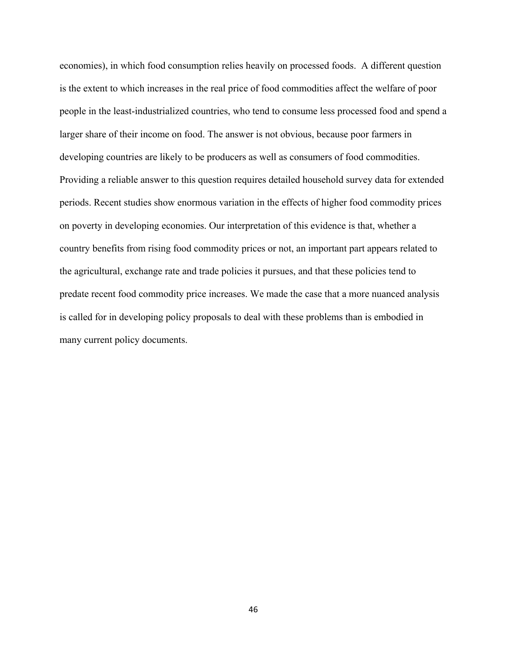economies), in which food consumption relies heavily on processed foods. A different question is the extent to which increases in the real price of food commodities affect the welfare of poor people in the least-industrialized countries, who tend to consume less processed food and spend a larger share of their income on food. The answer is not obvious, because poor farmers in developing countries are likely to be producers as well as consumers of food commodities. Providing a reliable answer to this question requires detailed household survey data for extended periods. Recent studies show enormous variation in the effects of higher food commodity prices on poverty in developing economies. Our interpretation of this evidence is that, whether a country benefits from rising food commodity prices or not, an important part appears related to the agricultural, exchange rate and trade policies it pursues, and that these policies tend to predate recent food commodity price increases. We made the case that a more nuanced analysis is called for in developing policy proposals to deal with these problems than is embodied in many current policy documents.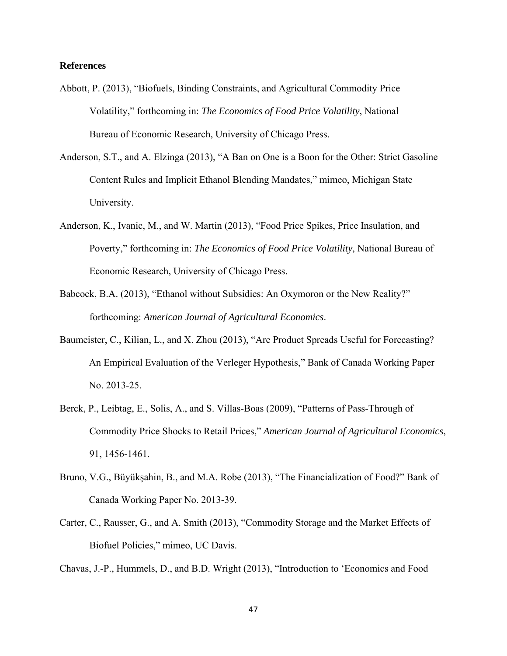## **References**

- Abbott, P. (2013), "Biofuels, Binding Constraints, and Agricultural Commodity Price Volatility," forthcoming in: *The Economics of Food Price Volatility*, National Bureau of Economic Research, University of Chicago Press.
- Anderson, S.T., and A. Elzinga (2013), "A Ban on One is a Boon for the Other: Strict Gasoline Content Rules and Implicit Ethanol Blending Mandates," mimeo, Michigan State University.
- Anderson, K., Ivanic, M., and W. Martin (2013), "Food Price Spikes, Price Insulation, and Poverty," forthcoming in: *The Economics of Food Price Volatility*, National Bureau of Economic Research, University of Chicago Press.
- Babcock, B.A. (2013), "Ethanol without Subsidies: An Oxymoron or the New Reality?" forthcoming: *American Journal of Agricultural Economics*.
- Baumeister, C., Kilian, L., and X. Zhou (2013), "Are Product Spreads Useful for Forecasting? An Empirical Evaluation of the Verleger Hypothesis," Bank of Canada Working Paper No. 2013-25.
- Berck, P., Leibtag, E., Solis, A., and S. Villas-Boas (2009), "Patterns of Pass-Through of Commodity Price Shocks to Retail Prices," *American Journal of Agricultural Economics*, 91, 1456-1461.
- Bruno, V.G., Büyükşahin, B., and M.A. Robe (2013), "The Financialization of Food?" Bank of Canada Working Paper No. 2013-39.
- Carter, C., Rausser, G., and A. Smith (2013), "Commodity Storage and the Market Effects of Biofuel Policies," mimeo, UC Davis.

Chavas, J.-P., Hummels, D., and B.D. Wright (2013), "Introduction to 'Economics and Food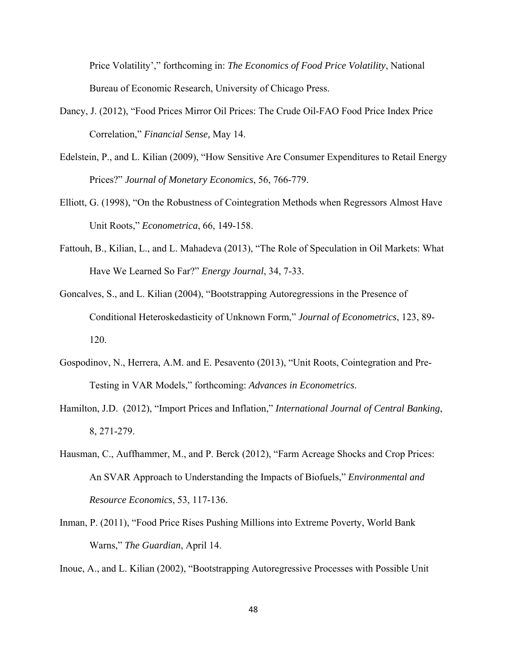Price Volatility'," forthcoming in: *The Economics of Food Price Volatility*, National Bureau of Economic Research, University of Chicago Press.

- Dancy, J. (2012), "Food Prices Mirror Oil Prices: The Crude Oil-FAO Food Price Index Price Correlation," *Financial Sense,* May 14.
- Edelstein, P., and L. Kilian (2009), "How Sensitive Are Consumer Expenditures to Retail Energy Prices?" *Journal of Monetary Economics*, 56, 766-779.
- Elliott, G. (1998), "On the Robustness of Cointegration Methods when Regressors Almost Have Unit Roots," *Econometrica*, 66, 149-158.
- Fattouh, B., Kilian, L., and L. Mahadeva (2013), "The Role of Speculation in Oil Markets: What Have We Learned So Far?" *Energy Journal*, 34, 7-33.
- Goncalves, S., and L. Kilian (2004), "Bootstrapping Autoregressions in the Presence of Conditional Heteroskedasticity of Unknown Form," *Journal of Econometrics*, 123, 89- 120.
- Gospodinov, N., Herrera, A.M. and E. Pesavento (2013), "Unit Roots, Cointegration and Pre- Testing in VAR Models," forthcoming: *Advances in Econometrics*.
- Hamilton, J.D. (2012), "Import Prices and Inflation," *International Journal of Central Banking*, 8, 271-279.
- Hausman, C., Auffhammer, M., and P. Berck (2012), "Farm Acreage Shocks and Crop Prices: An SVAR Approach to Understanding the Impacts of Biofuels," *Environmental and Resource Economics*, 53, 117-136.
- Inman, P. (2011), "Food Price Rises Pushing Millions into Extreme Poverty, World Bank Warns," *The Guardian*, April 14.

Inoue, A., and L. Kilian (2002), "Bootstrapping Autoregressive Processes with Possible Unit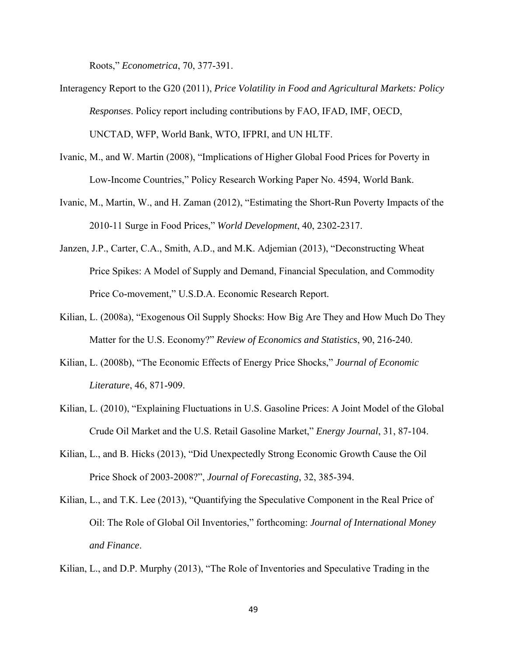Roots," *Econometrica*, 70, 377-391.

- Interagency Report to the G20 (2011), *Price Volatility in Food and Agricultural Markets: Policy Responses*. Policy report including contributions by FAO, IFAD, IMF, OECD, UNCTAD, WFP, World Bank, WTO, IFPRI, and UN HLTF.
- Ivanic, M., and W. Martin (2008), "Implications of Higher Global Food Prices for Poverty in Low-Income Countries," Policy Research Working Paper No. 4594, World Bank.
- Ivanic, M., Martin, W., and H. Zaman (2012), "Estimating the Short-Run Poverty Impacts of the 2010-11 Surge in Food Prices," *World Development*, 40, 2302-2317.
- Janzen, J.P., Carter, C.A., Smith, A.D., and M.K. Adjemian (2013), "Deconstructing Wheat Price Spikes: A Model of Supply and Demand, Financial Speculation, and Commodity Price Co-movement," U.S.D.A. Economic Research Report.
- Kilian, L. (2008a), "Exogenous Oil Supply Shocks: How Big Are They and How Much Do They Matter for the U.S. Economy?" *Review of Economics and Statistics*, 90, 216-240.
- Kilian, L. (2008b), "The Economic Effects of Energy Price Shocks," *Journal of Economic Literature*, 46, 871-909.
- Kilian, L. (2010), "Explaining Fluctuations in U.S. Gasoline Prices: A Joint Model of the Global Crude Oil Market and the U.S. Retail Gasoline Market," *Energy Journal*, 31, 87-104.
- Kilian, L., and B. Hicks (2013), "Did Unexpectedly Strong Economic Growth Cause the Oil Price Shock of 2003-2008?", *Journal of Forecasting*, 32, 385-394.
- Kilian, L., and T.K. Lee (2013), "Quantifying the Speculative Component in the Real Price of Oil: The Role of Global Oil Inventories," forthcoming: *Journal of International Money and Finance*.

Kilian, L., and D.P. Murphy (2013), "The Role of Inventories and Speculative Trading in the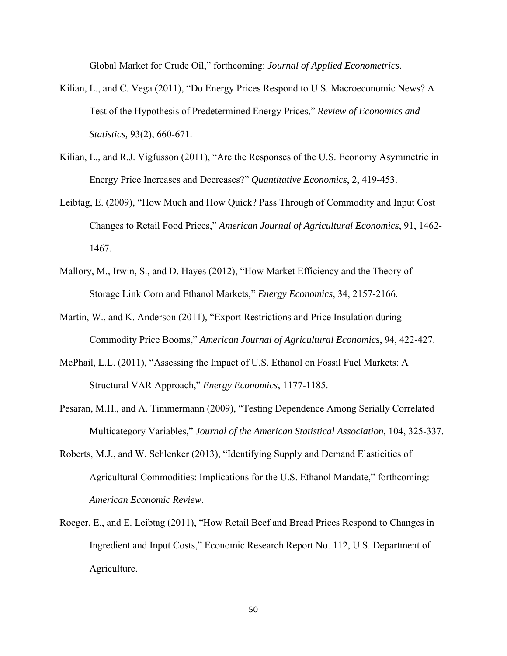Global Market for Crude Oil," forthcoming: *Journal of Applied Econometrics*.

- Kilian, L., and C. Vega (2011), "Do Energy Prices Respond to U.S. Macroeconomic News? A Test of the Hypothesis of Predetermined Energy Prices," *Review of Economics and Statistics,* 93(2), 660-671.
- Kilian, L., and R.J. Vigfusson (2011), "Are the Responses of the U.S. Economy Asymmetric in Energy Price Increases and Decreases?" *Quantitative Economics*, 2, 419-453.
- Leibtag, E. (2009), "How Much and How Quick? Pass Through of Commodity and Input Cost Changes to Retail Food Prices," *American Journal of Agricultural Economics*, 91, 1462- 1467.
- Mallory, M., Irwin, S., and D. Hayes (2012), "How Market Efficiency and the Theory of Storage Link Corn and Ethanol Markets," *Energy Economics*, 34, 2157-2166.
- Martin, W., and K. Anderson (2011), "Export Restrictions and Price Insulation during Commodity Price Booms," *American Journal of Agricultural Economics*, 94, 422-427.
- McPhail, L.L. (2011), "Assessing the Impact of U.S. Ethanol on Fossil Fuel Markets: A Structural VAR Approach," *Energy Economics*, 1177-1185.
- Pesaran, M.H., and A. Timmermann (2009), "Testing Dependence Among Serially Correlated Multicategory Variables," *Journal of the American Statistical Association*, 104, 325-337.
- Roberts, M.J., and W. Schlenker (2013), "Identifying Supply and Demand Elasticities of Agricultural Commodities: Implications for the U.S. Ethanol Mandate," forthcoming: *American Economic Review*.
- Roeger, E., and E. Leibtag (2011), "How Retail Beef and Bread Prices Respond to Changes in Ingredient and Input Costs," Economic Research Report No. 112, U.S. Department of Agriculture.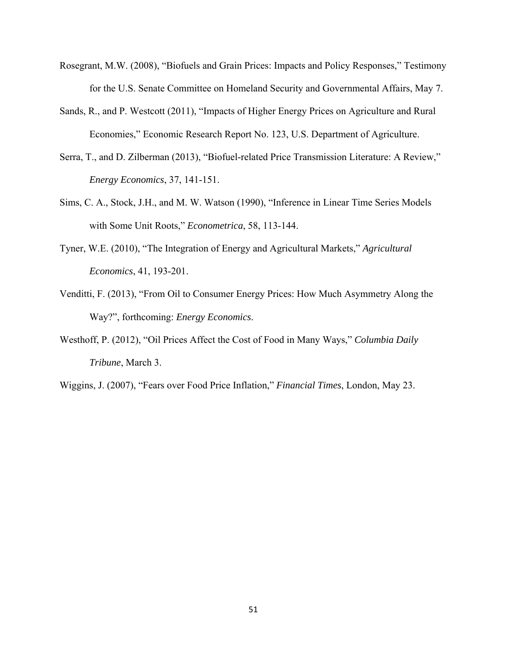- Rosegrant, M.W. (2008), "Biofuels and Grain Prices: Impacts and Policy Responses," Testimony for the U.S. Senate Committee on Homeland Security and Governmental Affairs, May 7.
- Sands, R., and P. Westcott (2011), "Impacts of Higher Energy Prices on Agriculture and Rural Economies," Economic Research Report No. 123, U.S. Department of Agriculture.
- Serra, T., and D. Zilberman (2013), "Biofuel-related Price Transmission Literature: A Review," *Energy Economics*, 37, 141-151.
- Sims, C. A., Stock, J.H., and M. W. Watson (1990), "Inference in Linear Time Series Models with Some Unit Roots," *Econometrica*, 58, 113-144.
- Tyner, W.E. (2010), "The Integration of Energy and Agricultural Markets," *Agricultural Economics*, 41, 193-201.
- Venditti, F. (2013), "From Oil to Consumer Energy Prices: How Much Asymmetry Along the Way?", forthcoming: *Energy Economics*.
- Westhoff, P. (2012), "Oil Prices Affect the Cost of Food in Many Ways," *Columbia Daily Tribune*, March 3.
- Wiggins, J. (2007), "Fears over Food Price Inflation," *Financial Times*, London, May 23.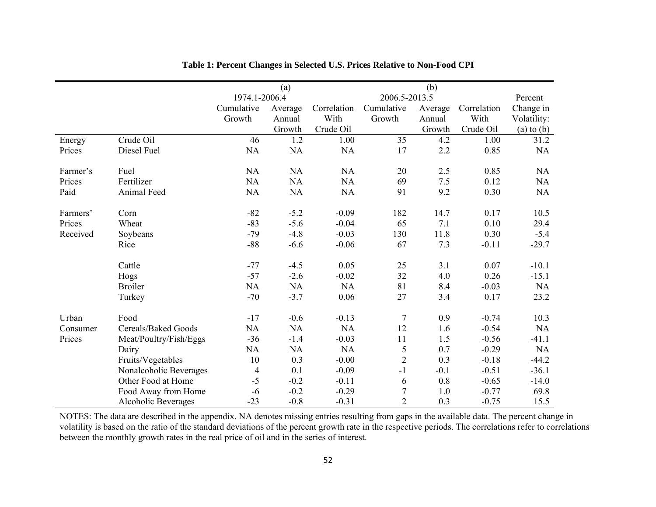|          |                            |               | (a)       |               |                  | (b)     |             |                |
|----------|----------------------------|---------------|-----------|---------------|------------------|---------|-------------|----------------|
|          |                            | 1974.1-2006.4 |           | 2006.5-2013.5 |                  |         | Percent     |                |
|          |                            | Cumulative    | Average   | Correlation   | Cumulative       | Average | Correlation | Change in      |
|          |                            | Growth        | Annual    | With          | Growth           | Annual  | With        | Volatility:    |
|          |                            |               | Growth    | Crude Oil     |                  | Growth  | Crude Oil   | $(a)$ to $(b)$ |
| Energy   | Crude Oil                  | 46            | 1.2       | 1.00          | 35               | 4.2     | 1.00        | 31.2           |
| Prices   | Diesel Fuel                | NA            | <b>NA</b> | <b>NA</b>     | 17               | 2.2     | 0.85        | NA             |
|          |                            |               |           |               |                  |         |             |                |
| Farmer's | Fuel                       | NA            | <b>NA</b> | NA            | 20               | 2.5     | 0.85        | NA             |
| Prices   | Fertilizer                 | NA            | <b>NA</b> | <b>NA</b>     | 69               | 7.5     | 0.12        | NA             |
| Paid     | Animal Feed                | NA            | NA        | NA            | 91               | 9.2     | 0.30        | NA             |
|          |                            |               |           |               |                  |         |             |                |
| Farmers' | Corn                       | $-82$         | $-5.2$    | $-0.09$       | 182              | 14.7    | 0.17        | 10.5           |
| Prices   | Wheat                      | $-83$         | $-5.6$    | $-0.04$       | 65               | $7.1\,$ | 0.10        | 29.4           |
| Received | Soybeans                   | $-79$         | $-4.8$    | $-0.03$       | 130              | 11.8    | 0.30        | $-5.4$         |
|          | Rice                       | $-88$         | $-6.6$    | $-0.06$       | 67               | 7.3     | $-0.11$     | $-29.7$        |
|          |                            |               |           |               |                  |         |             |                |
|          | Cattle                     | $-77$         | $-4.5$    | 0.05          | 25               | 3.1     | 0.07        | $-10.1$        |
|          | Hogs                       | $-57$         | $-2.6$    | $-0.02$       | 32               | 4.0     | 0.26        | $-15.1$        |
|          | <b>Broiler</b>             | NA            | <b>NA</b> | <b>NA</b>     | 81               | 8.4     | $-0.03$     | NA             |
|          | Turkey                     | $-70$         | $-3.7$    | 0.06          | 27               | 3.4     | 0.17        | 23.2           |
|          |                            |               |           |               |                  |         |             |                |
| Urban    | Food                       | $-17$         | $-0.6$    | $-0.13$       | $\overline{7}$   | 0.9     | $-0.74$     | 10.3           |
| Consumer | Cereals/Baked Goods        | NA            | NA        | <b>NA</b>     | 12               | 1.6     | $-0.54$     | NA             |
| Prices   | Meat/Poultry/Fish/Eggs     | $-36$         | $-1.4$    | $-0.03$       | 11               | 1.5     | $-0.56$     | $-41.1$        |
|          | Dairy                      | NA            | NA        | <b>NA</b>     | $\sqrt{5}$       | 0.7     | $-0.29$     | $\rm NA$       |
|          | Fruits/Vegetables          | 10            | 0.3       | $-0.00$       | $\overline{2}$   | 0.3     | $-0.18$     | $-44.2$        |
|          | Nonalcoholic Beverages     | 4             | 0.1       | $-0.09$       | $-1$             | $-0.1$  | $-0.51$     | $-36.1$        |
|          | Other Food at Home         | $-5$          | $-0.2$    | $-0.11$       | 6                | 0.8     | $-0.65$     | $-14.0$        |
|          | Food Away from Home        | $-6$          | $-0.2$    | $-0.29$       | $\boldsymbol{7}$ | 1.0     | $-0.77$     | 69.8           |
|          | <b>Alcoholic Beverages</b> | $-23$         | $-0.8$    | $-0.31$       | $\overline{2}$   | 0.3     | $-0.75$     | 15.5           |

**Table 1: Percent Changes in Selected U.S. Prices Relative to Non-Food CPI** 

NOTES: The data are described in the appendix. NA denotes missing entries resulting from gaps in the available data. The percent change in volatility is based on the ratio of the standard deviations of the percent growth rate in the respective periods. The correlations refer to correlations between the monthly growth rates in the real price of oil and in the series of interest.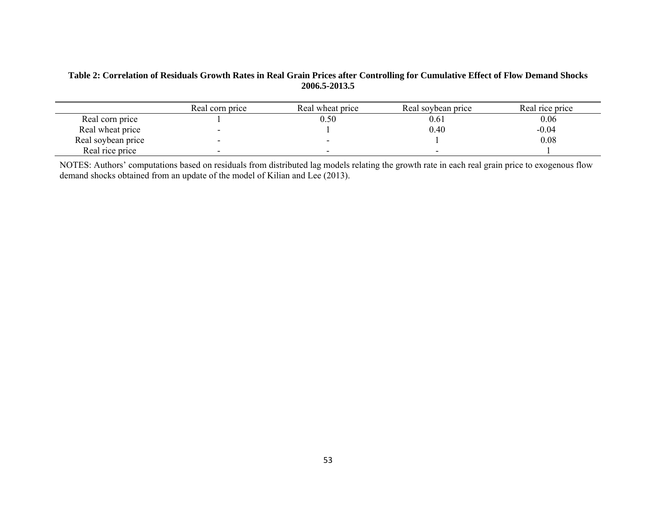# **Table 2: Correlation of Residuals Growth Rates in Real Grain Prices after Controlling for Cumulative Effect of Flow Demand Shocks 2006.5-2013.5**

|                    | Real corn price          | Real wheat price | Real soybean price | Real rice price |
|--------------------|--------------------------|------------------|--------------------|-----------------|
| Real corn price    |                          | $0.50\,$         | 0.61               | 0.06            |
| Real wheat price   | $\overline{\phantom{a}}$ |                  | 0.40               | $-0.04$         |
| Real soybean price | $\overline{\phantom{a}}$ |                  |                    | 0.08            |
| Real rice price    | $\overline{\phantom{0}}$ |                  | -                  |                 |

NOTES: Authors' computations based on residuals from distributed lag models relating the growth rate in each real grain price to exogenous flow demand shocks obtained from an update of the model of Kilian and Lee (2013).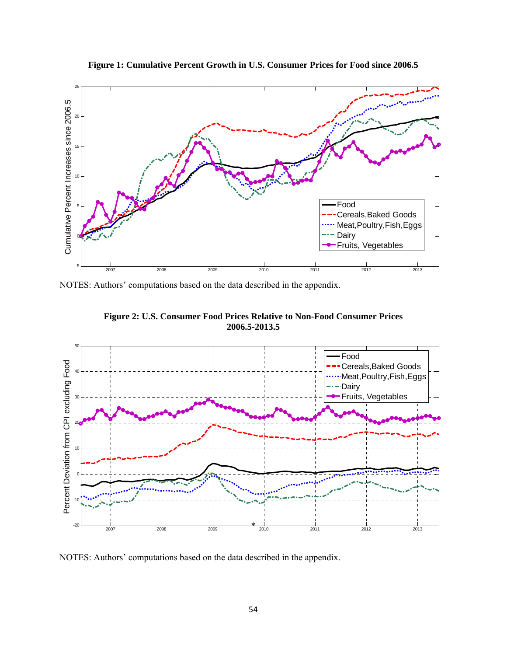

**Figure 1: Cumulative Percent Growth in U.S. Consumer Prices for Food since 2006.5** 

NOTES: Authors' computations based on the data described in the appendix.





NOTES: Authors' computations based on the data described in the appendix.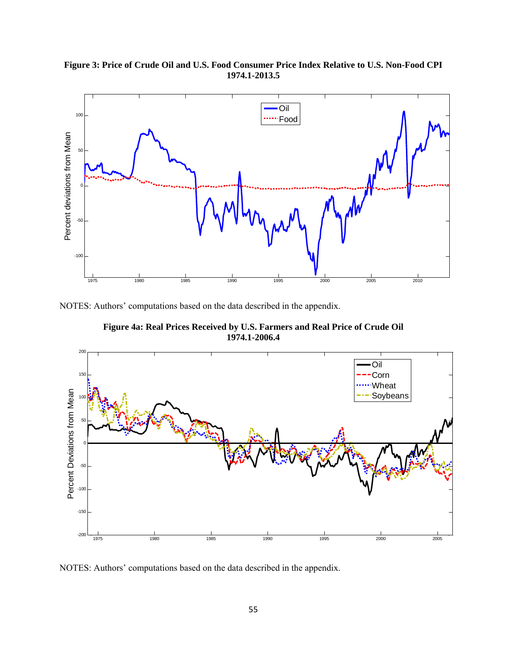**Figure 3: Price of Crude Oil and U.S. Food Consumer Price Index Relative to U.S. Non-Food CPI 1974.1-2013.5** 



NOTES: Authors' computations based on the data described in the appendix.

**Figure 4a: Real Prices Received by U.S. Farmers and Real Price of Crude Oil 1974.1-2006.4**



NOTES: Authors' computations based on the data described in the appendix.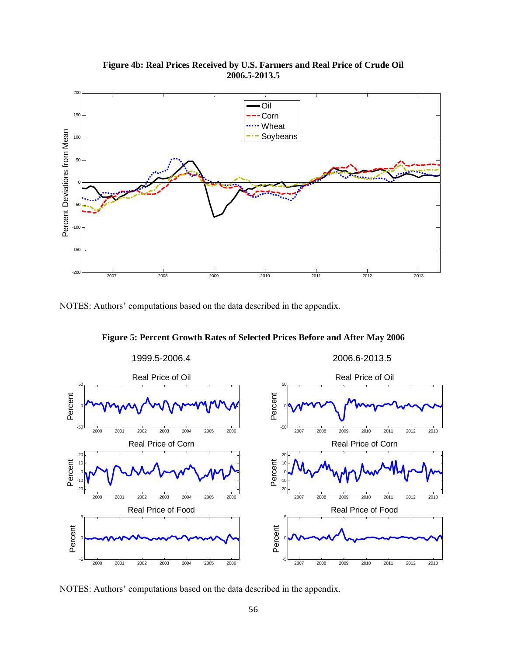**Figure 4b: Real Prices Received by U.S. Farmers and Real Price of Crude Oil 2006.5-2013.5**



NOTES: Authors' computations based on the data described in the appendix.



**Figure 5: Percent Growth Rates of Selected Prices Before and After May 2006** 

NOTES: Authors' computations based on the data described in the appendix.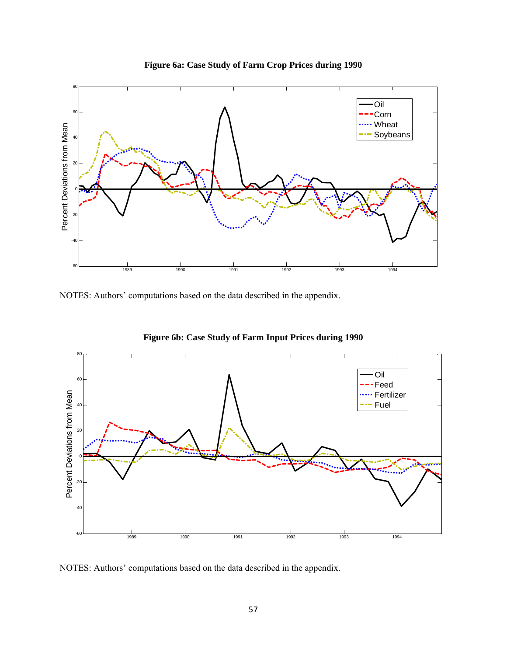



NOTES: Authors' computations based on the data described in the appendix.



**Figure 6b: Case Study of Farm Input Prices during 1990** 

NOTES: Authors' computations based on the data described in the appendix.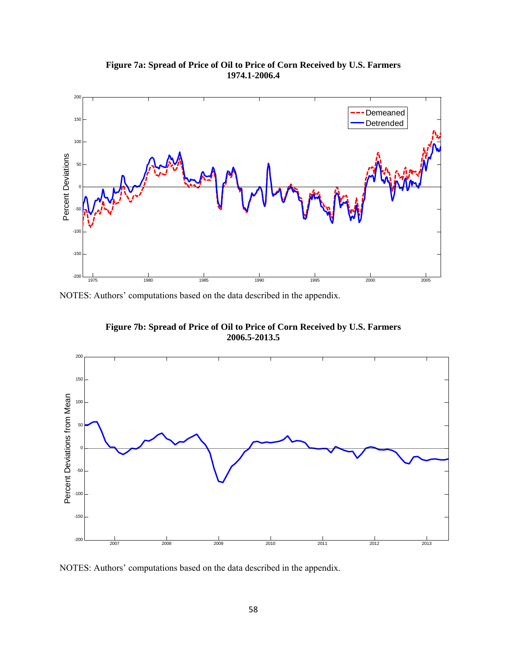



NOTES: Authors' computations based on the data described in the appendix.

**Figure 7b: Spread of Price of Oil to Price of Corn Received by U.S. Farmers 2006.5-2013.5** 



NOTES: Authors' computations based on the data described in the appendix.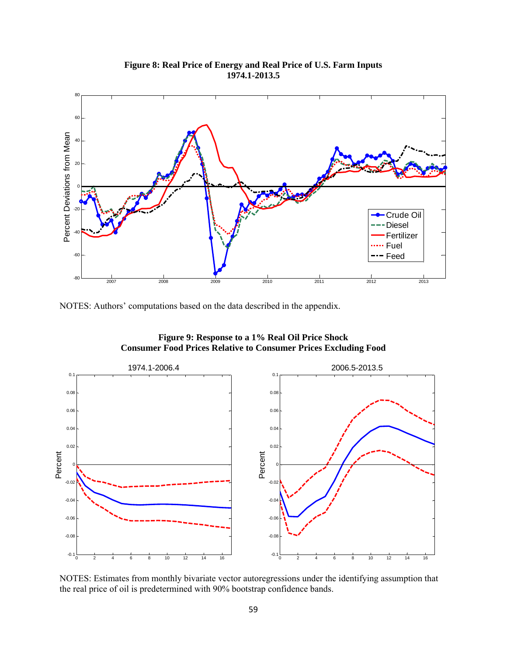## **Figure 8: Real Price of Energy and Real Price of U.S. Farm Inputs 1974.1-2013.5**



NOTES: Authors' computations based on the data described in the appendix.

**Figure 9: Response to a 1% Real Oil Price Shock Consumer Food Prices Relative to Consumer Prices Excluding Food** 



NOTES: Estimates from monthly bivariate vector autoregressions under the identifying assumption that the real price of oil is predetermined with 90% bootstrap confidence bands.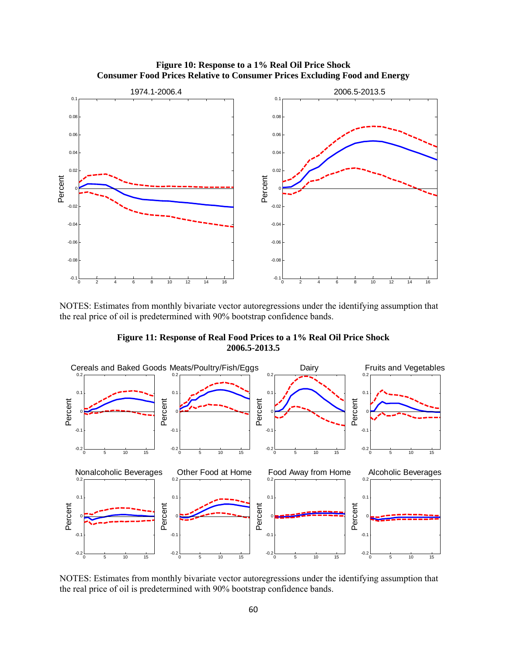

**Figure 10: Response to a 1% Real Oil Price Shock Consumer Food Prices Relative to Consumer Prices Excluding Food and Energy** 

NOTES: Estimates from monthly bivariate vector autoregressions under the identifying assumption that the real price of oil is predetermined with 90% bootstrap confidence bands.

**Figure 11: Response of Real Food Prices to a 1% Real Oil Price Shock 2006.5-2013.5** 



NOTES: Estimates from monthly bivariate vector autoregressions under the identifying assumption that the real price of oil is predetermined with 90% bootstrap confidence bands.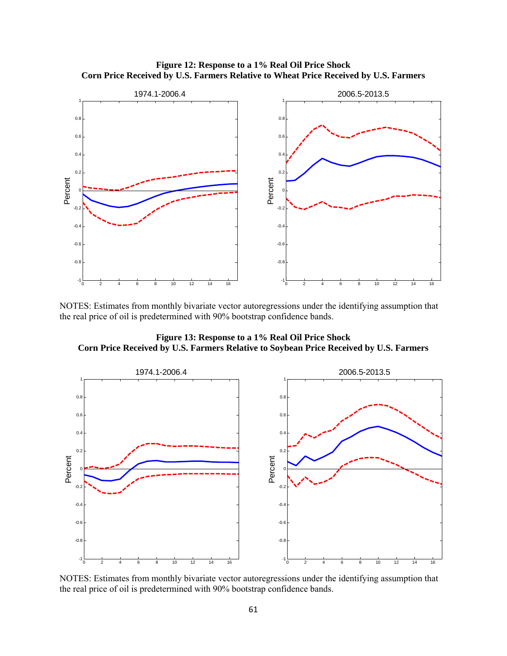

**Figure 12: Response to a 1% Real Oil Price Shock Corn Price Received by U.S. Farmers Relative to Wheat Price Received by U.S. Farmers** 

NOTES: Estimates from monthly bivariate vector autoregressions under the identifying assumption that the real price of oil is predetermined with 90% bootstrap confidence bands.

-0.8

-0.6

-0.4

<sup>0</sup> <sup>2</sup> <sup>4</sup> <sup>6</sup> <sup>8</sup> <sup>10</sup> <sup>12</sup> <sup>14</sup> <sup>16</sup> -1

<sup>0</sup> <sup>2</sup> <sup>4</sup> <sup>6</sup> <sup>8</sup> <sup>10</sup> <sup>12</sup> <sup>14</sup> <sup>16</sup> -1

-0.8

 $-0.6$ 

 $-0.4$ 

**Figure 13: Response to a 1% Real Oil Price Shock Corn Price Received by U.S. Farmers Relative to Soybean Price Received by U.S. Farmers** 



NOTES: Estimates from monthly bivariate vector autoregressions under the identifying assumption that the real price of oil is predetermined with 90% bootstrap confidence bands.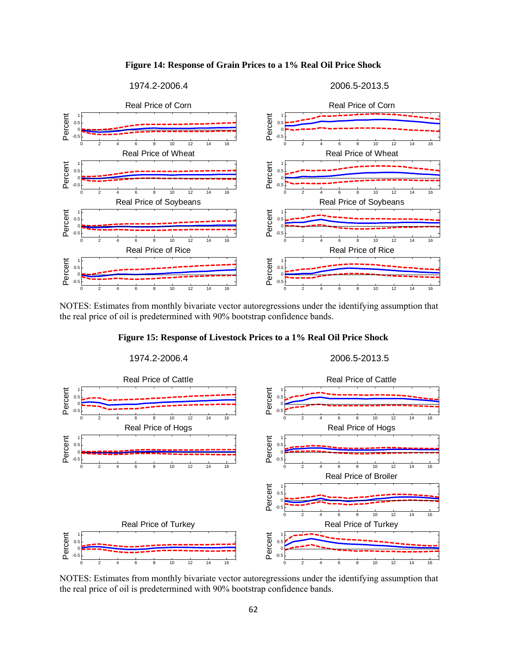



NOTES: Estimates from monthly bivariate vector autoregressions under the identifying assumption that the real price of oil is predetermined with 90% bootstrap confidence bands.





NOTES: Estimates from monthly bivariate vector autoregressions under the identifying assumption that the real price of oil is predetermined with 90% bootstrap confidence bands.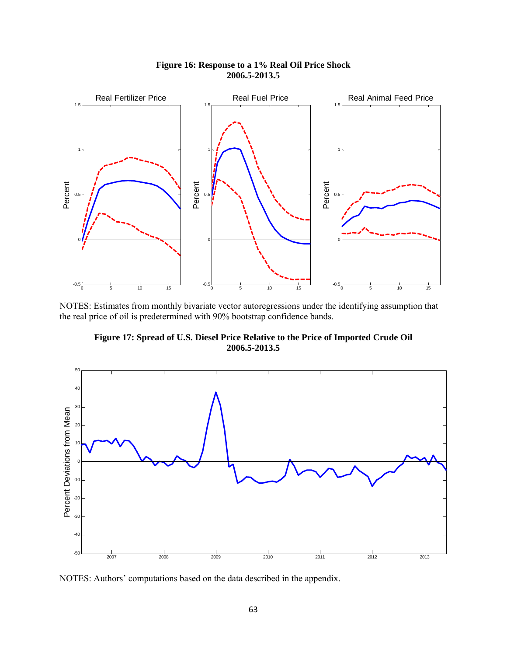

## **Figure 16: Response to a 1% Real Oil Price Shock 2006.5-2013.5**

NOTES: Estimates from monthly bivariate vector autoregressions under the identifying assumption that the real price of oil is predetermined with 90% bootstrap confidence bands.

**Figure 17: Spread of U.S. Diesel Price Relative to the Price of Imported Crude Oil 2006.5-2013.5** 



NOTES: Authors' computations based on the data described in the appendix.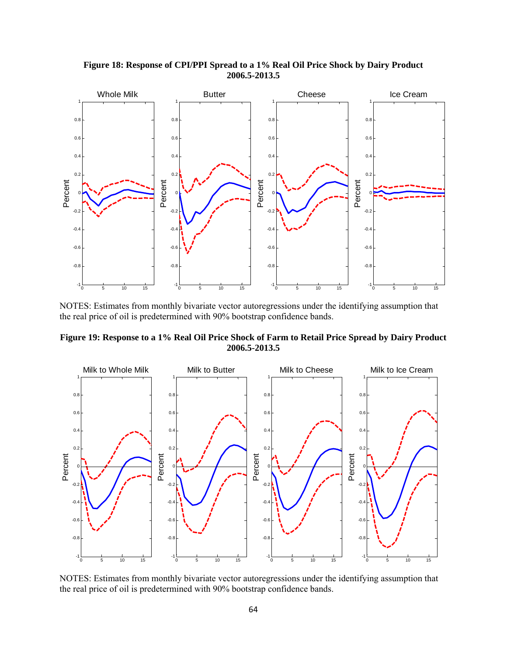

**Figure 18: Response of CPI/PPI Spread to a 1% Real Oil Price Shock by Dairy Product 2006.5-2013.5** 

NOTES: Estimates from monthly bivariate vector autoregressions under the identifying assumption that the real price of oil is predetermined with 90% bootstrap confidence bands.





NOTES: Estimates from monthly bivariate vector autoregressions under the identifying assumption that the real price of oil is predetermined with 90% bootstrap confidence bands.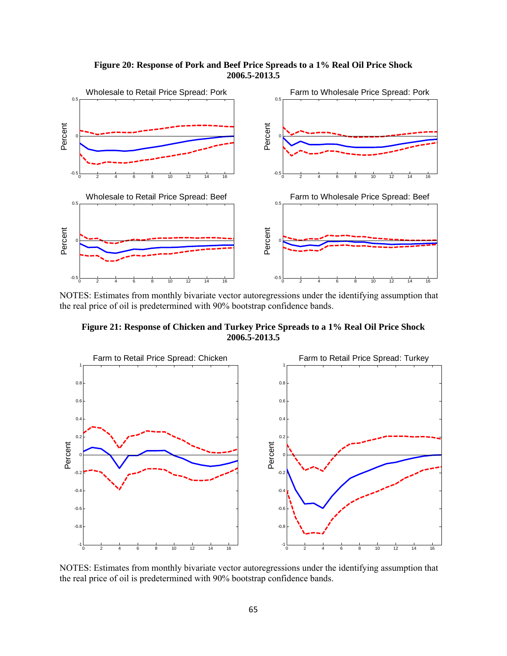**Figure 20: Response of Pork and Beef Price Spreads to a 1% Real Oil Price Shock 2006.5-2013.5** 



NOTES: Estimates from monthly bivariate vector autoregressions under the identifying assumption that the real price of oil is predetermined with 90% bootstrap confidence bands.

**Figure 21: Response of Chicken and Turkey Price Spreads to a 1% Real Oil Price Shock 2006.5-2013.5** 



NOTES: Estimates from monthly bivariate vector autoregressions under the identifying assumption that the real price of oil is predetermined with 90% bootstrap confidence bands.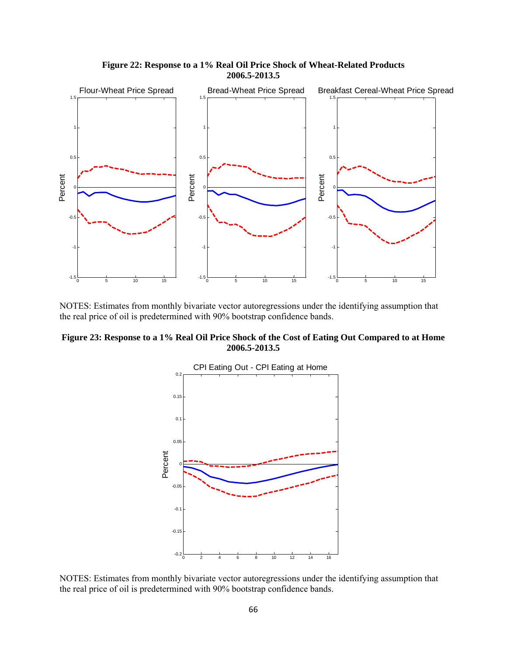

**Figure 22: Response to a 1% Real Oil Price Shock of Wheat-Related Products 2006.5-2013.5** 

NOTES: Estimates from monthly bivariate vector autoregressions under the identifying assumption that the real price of oil is predetermined with 90% bootstrap confidence bands.

**Figure 23: Response to a 1% Real Oil Price Shock of the Cost of Eating Out Compared to at Home 2006.5-2013.5** 



NOTES: Estimates from monthly bivariate vector autoregressions under the identifying assumption that the real price of oil is predetermined with 90% bootstrap confidence bands.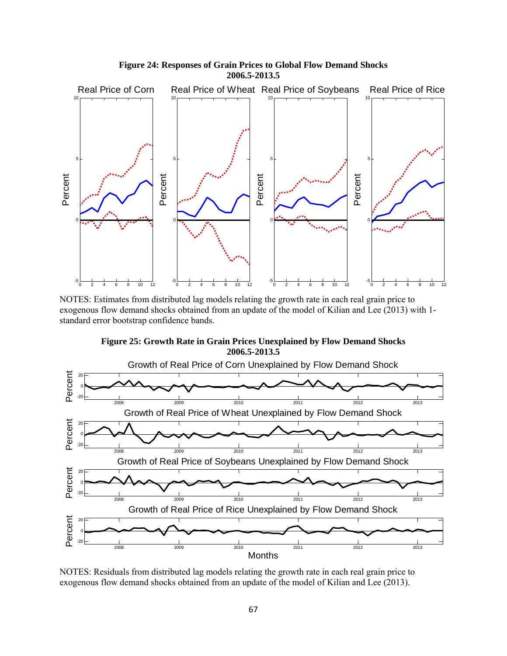

NOTES: Estimates from distributed lag models relating the growth rate in each real grain price to exogenous flow demand shocks obtained from an update of the model of Kilian and Lee (2013) with 1 standard error bootstrap confidence bands.





NOTES: Residuals from distributed lag models relating the growth rate in each real grain price to exogenous flow demand shocks obtained from an update of the model of Kilian and Lee (2013).